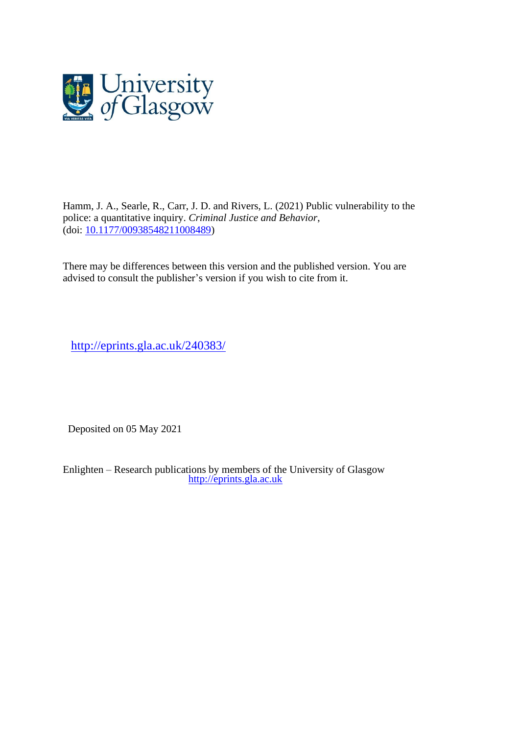

Hamm, J. A., Searle, R., Carr, J. D. and Rivers, L. (2021) Public vulnerability to the police: a quantitative inquiry. *Criminal Justice and Behavior*, (doi: [10.1177/00938548211008489\)](http://dx.doi.org/10.1177/00938548211008489)

There may be differences between this version and the published version. You are advised to consult the publisher's version if you wish to cite from it.

<http://eprints.gla.ac.uk/240383/>

Deposited on 05 May 2021

Enlighten – Research publications by members of the University of Glasgow [http://eprints.gla.ac.uk](http://eprints.gla.ac.uk/)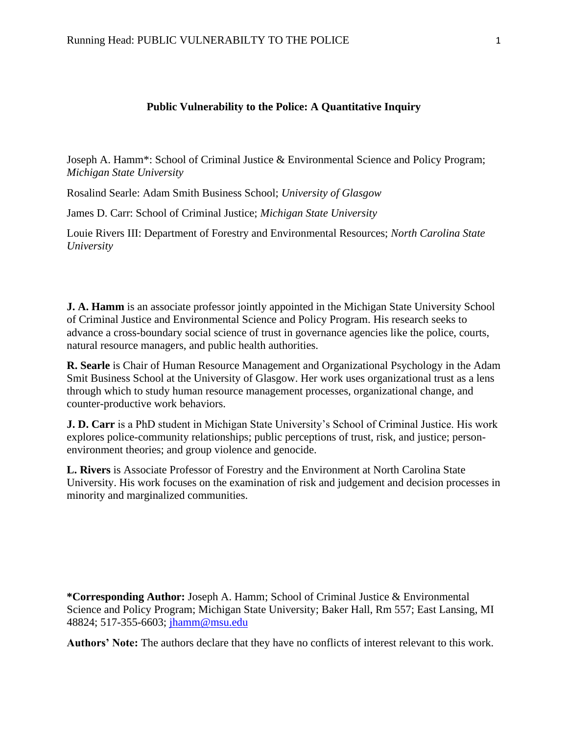# **Public Vulnerability to the Police: A Quantitative Inquiry**

Joseph A. Hamm\*: School of Criminal Justice & Environmental Science and Policy Program; *Michigan State University*

Rosalind Searle: Adam Smith Business School; *University of Glasgow*

James D. Carr: School of Criminal Justice; *Michigan State University*

Louie Rivers III: Department of Forestry and Environmental Resources; *North Carolina State University*

**J. A. Hamm** is an associate professor jointly appointed in the Michigan State University School of Criminal Justice and Environmental Science and Policy Program. His research seeks to advance a cross-boundary social science of trust in governance agencies like the police, courts, natural resource managers, and public health authorities.

**R. Searle** is Chair of Human Resource Management and Organizational Psychology in the Adam Smit Business School at the University of Glasgow. Her work uses organizational trust as a lens through which to study human resource management processes, organizational change, and counter-productive work behaviors.

**J. D. Carr** is a PhD student in Michigan State University's School of Criminal Justice. His work explores police-community relationships; public perceptions of trust, risk, and justice; personenvironment theories; and group violence and genocide.

**L. Rivers** is Associate Professor of Forestry and the Environment at North Carolina State University. His work focuses on the examination of risk and judgement and decision processes in minority and marginalized communities.

**\*Corresponding Author:** Joseph A. Hamm; School of Criminal Justice & Environmental Science and Policy Program; Michigan State University; Baker Hall, Rm 557; East Lansing, MI 48824; 517-355-6603; [jhamm@msu.edu](mailto:jhamm@msu.edu)

**Authors' Note:** The authors declare that they have no conflicts of interest relevant to this work.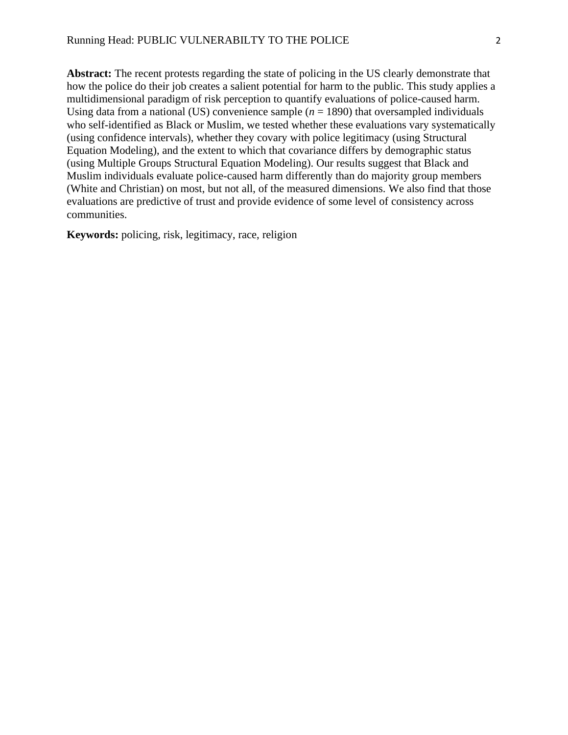**Abstract:** The recent protests regarding the state of policing in the US clearly demonstrate that how the police do their job creates a salient potential for harm to the public. This study applies a multidimensional paradigm of risk perception to quantify evaluations of police-caused harm. Using data from a national (US) convenience sample  $(n = 1890)$  that oversampled individuals who self-identified as Black or Muslim, we tested whether these evaluations vary systematically (using confidence intervals), whether they covary with police legitimacy (using Structural Equation Modeling), and the extent to which that covariance differs by demographic status (using Multiple Groups Structural Equation Modeling). Our results suggest that Black and Muslim individuals evaluate police-caused harm differently than do majority group members (White and Christian) on most, but not all, of the measured dimensions. We also find that those evaluations are predictive of trust and provide evidence of some level of consistency across communities.

**Keywords:** policing, risk, legitimacy, race, religion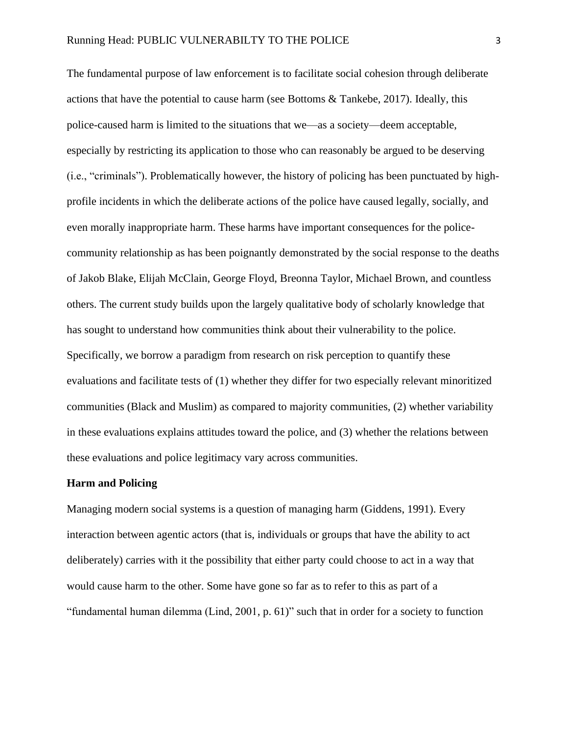The fundamental purpose of law enforcement is to facilitate social cohesion through deliberate actions that have the potential to cause harm (see Bottoms & Tankebe, 2017). Ideally, this police-caused harm is limited to the situations that we—as a society—deem acceptable, especially by restricting its application to those who can reasonably be argued to be deserving (i.e., "criminals"). Problematically however, the history of policing has been punctuated by highprofile incidents in which the deliberate actions of the police have caused legally, socially, and even morally inappropriate harm. These harms have important consequences for the policecommunity relationship as has been poignantly demonstrated by the social response to the deaths of Jakob Blake, Elijah McClain, George Floyd, Breonna Taylor, Michael Brown, and countless others. The current study builds upon the largely qualitative body of scholarly knowledge that has sought to understand how communities think about their vulnerability to the police. Specifically, we borrow a paradigm from research on risk perception to quantify these evaluations and facilitate tests of (1) whether they differ for two especially relevant minoritized communities (Black and Muslim) as compared to majority communities, (2) whether variability in these evaluations explains attitudes toward the police, and (3) whether the relations between these evaluations and police legitimacy vary across communities.

### **Harm and Policing**

Managing modern social systems is a question of managing harm (Giddens, 1991). Every interaction between agentic actors (that is, individuals or groups that have the ability to act deliberately) carries with it the possibility that either party could choose to act in a way that would cause harm to the other. Some have gone so far as to refer to this as part of a "fundamental human dilemma (Lind, 2001, p. 61)" such that in order for a society to function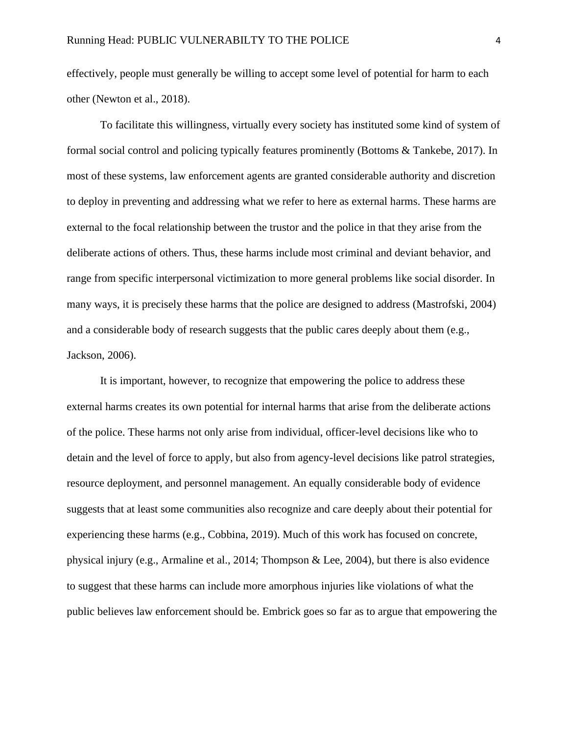effectively, people must generally be willing to accept some level of potential for harm to each other (Newton et al., 2018).

To facilitate this willingness, virtually every society has instituted some kind of system of formal social control and policing typically features prominently (Bottoms & Tankebe, 2017). In most of these systems, law enforcement agents are granted considerable authority and discretion to deploy in preventing and addressing what we refer to here as external harms. These harms are external to the focal relationship between the trustor and the police in that they arise from the deliberate actions of others. Thus, these harms include most criminal and deviant behavior, and range from specific interpersonal victimization to more general problems like social disorder. In many ways, it is precisely these harms that the police are designed to address (Mastrofski, 2004) and a considerable body of research suggests that the public cares deeply about them (e.g., Jackson, 2006).

It is important, however, to recognize that empowering the police to address these external harms creates its own potential for internal harms that arise from the deliberate actions of the police. These harms not only arise from individual, officer-level decisions like who to detain and the level of force to apply, but also from agency-level decisions like patrol strategies, resource deployment, and personnel management. An equally considerable body of evidence suggests that at least some communities also recognize and care deeply about their potential for experiencing these harms (e.g., Cobbina, 2019). Much of this work has focused on concrete, physical injury (e.g., Armaline et al., 2014; Thompson & Lee, 2004), but there is also evidence to suggest that these harms can include more amorphous injuries like violations of what the public believes law enforcement should be. Embrick goes so far as to argue that empowering the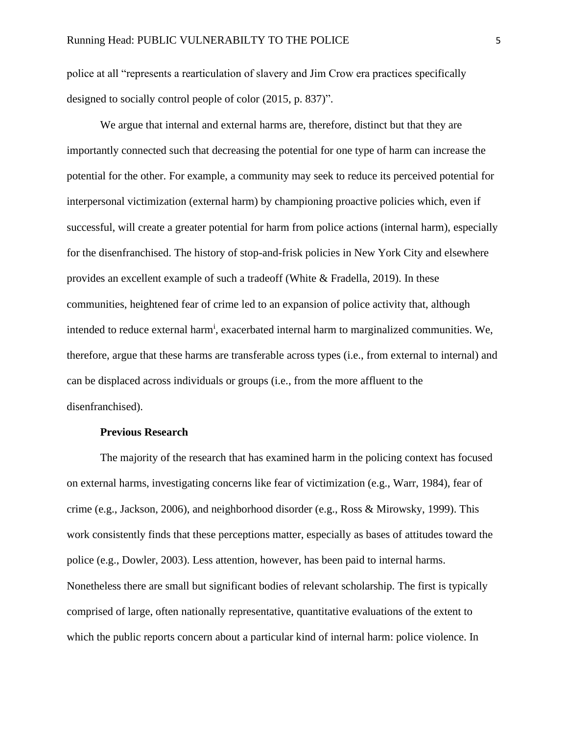police at all "represents a rearticulation of slavery and Jim Crow era practices specifically designed to socially control people of color (2015, p. 837)".

We argue that internal and external harms are, therefore, distinct but that they are importantly connected such that decreasing the potential for one type of harm can increase the potential for the other. For example, a community may seek to reduce its perceived potential for interpersonal victimization (external harm) by championing proactive policies which, even if successful, will create a greater potential for harm from police actions (internal harm), especially for the disenfranchised. The history of stop-and-frisk policies in New York City and elsewhere provides an excellent example of such a tradeoff (White & Fradella, 2019). In these communities, heightened fear of crime led to an expansion of police activity that, although intended to reduce external harm<sup>i</sup>, exacerbated internal harm to marginalized communities. We, therefore, argue that these harms are transferable across types (i.e., from external to internal) and can be displaced across individuals or groups (i.e., from the more affluent to the disenfranchised).

#### **Previous Research**

The majority of the research that has examined harm in the policing context has focused on external harms, investigating concerns like fear of victimization (e.g., Warr, 1984), fear of crime (e.g., Jackson, 2006), and neighborhood disorder (e.g., Ross & Mirowsky, 1999). This work consistently finds that these perceptions matter, especially as bases of attitudes toward the police (e.g., Dowler, 2003). Less attention, however, has been paid to internal harms. Nonetheless there are small but significant bodies of relevant scholarship. The first is typically comprised of large, often nationally representative, quantitative evaluations of the extent to which the public reports concern about a particular kind of internal harm: police violence. In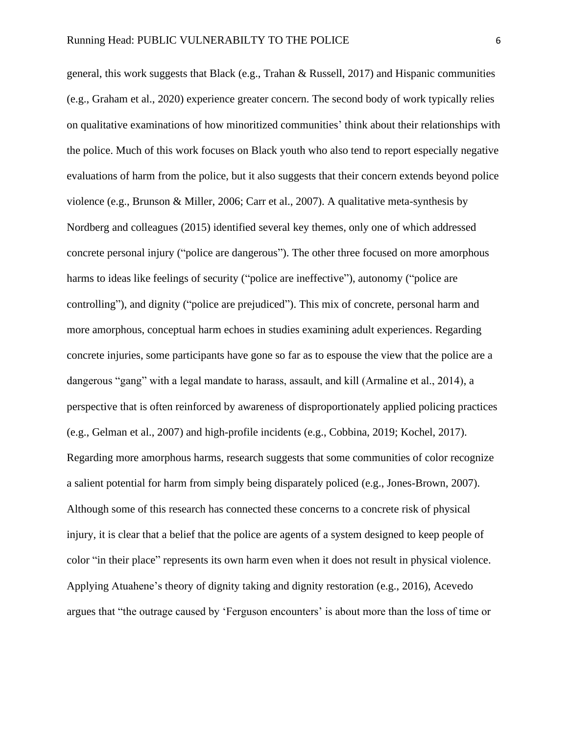general, this work suggests that Black (e.g., Trahan & Russell, 2017) and Hispanic communities (e.g., Graham et al., 2020) experience greater concern. The second body of work typically relies on qualitative examinations of how minoritized communities' think about their relationships with the police. Much of this work focuses on Black youth who also tend to report especially negative evaluations of harm from the police, but it also suggests that their concern extends beyond police violence (e.g., Brunson & Miller, 2006; Carr et al., 2007). A qualitative meta-synthesis by Nordberg and colleagues (2015) identified several key themes, only one of which addressed concrete personal injury ("police are dangerous"). The other three focused on more amorphous harms to ideas like feelings of security ("police are ineffective"), autonomy ("police are controlling"), and dignity ("police are prejudiced"). This mix of concrete, personal harm and more amorphous, conceptual harm echoes in studies examining adult experiences. Regarding concrete injuries, some participants have gone so far as to espouse the view that the police are a dangerous "gang" with a legal mandate to harass, assault, and kill (Armaline et al., 2014), a perspective that is often reinforced by awareness of disproportionately applied policing practices (e.g., Gelman et al., 2007) and high-profile incidents (e.g., Cobbina, 2019; Kochel, 2017). Regarding more amorphous harms, research suggests that some communities of color recognize a salient potential for harm from simply being disparately policed (e.g., Jones-Brown, 2007). Although some of this research has connected these concerns to a concrete risk of physical injury, it is clear that a belief that the police are agents of a system designed to keep people of color "in their place" represents its own harm even when it does not result in physical violence. Applying Atuahene's theory of dignity taking and dignity restoration (e.g., 2016), Acevedo argues that "the outrage caused by 'Ferguson encounters' is about more than the loss of time or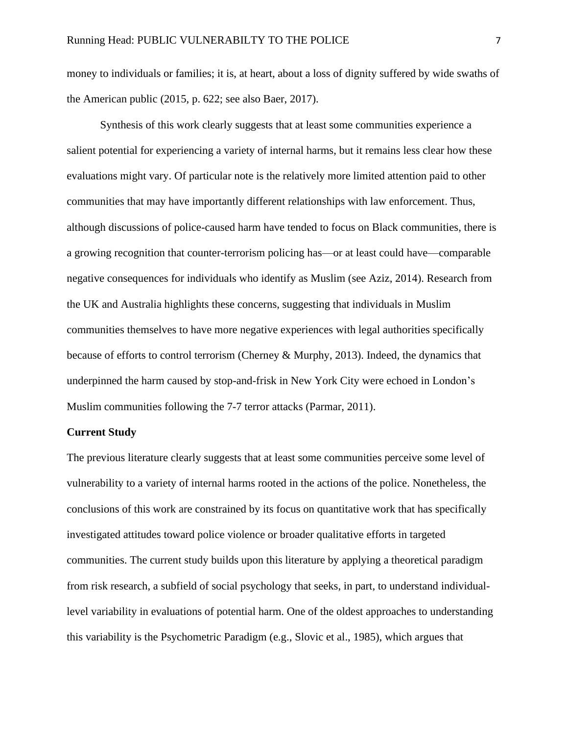money to individuals or families; it is, at heart, about a loss of dignity suffered by wide swaths of the American public (2015, p. 622; see also Baer, 2017).

Synthesis of this work clearly suggests that at least some communities experience a salient potential for experiencing a variety of internal harms, but it remains less clear how these evaluations might vary. Of particular note is the relatively more limited attention paid to other communities that may have importantly different relationships with law enforcement. Thus, although discussions of police-caused harm have tended to focus on Black communities, there is a growing recognition that counter-terrorism policing has—or at least could have—comparable negative consequences for individuals who identify as Muslim (see Aziz, 2014). Research from the UK and Australia highlights these concerns, suggesting that individuals in Muslim communities themselves to have more negative experiences with legal authorities specifically because of efforts to control terrorism (Cherney & Murphy, 2013). Indeed, the dynamics that underpinned the harm caused by stop-and-frisk in New York City were echoed in London's Muslim communities following the 7-7 terror attacks (Parmar, 2011).

# **Current Study**

The previous literature clearly suggests that at least some communities perceive some level of vulnerability to a variety of internal harms rooted in the actions of the police. Nonetheless, the conclusions of this work are constrained by its focus on quantitative work that has specifically investigated attitudes toward police violence or broader qualitative efforts in targeted communities. The current study builds upon this literature by applying a theoretical paradigm from risk research, a subfield of social psychology that seeks, in part, to understand individuallevel variability in evaluations of potential harm. One of the oldest approaches to understanding this variability is the Psychometric Paradigm (e.g., Slovic et al., 1985), which argues that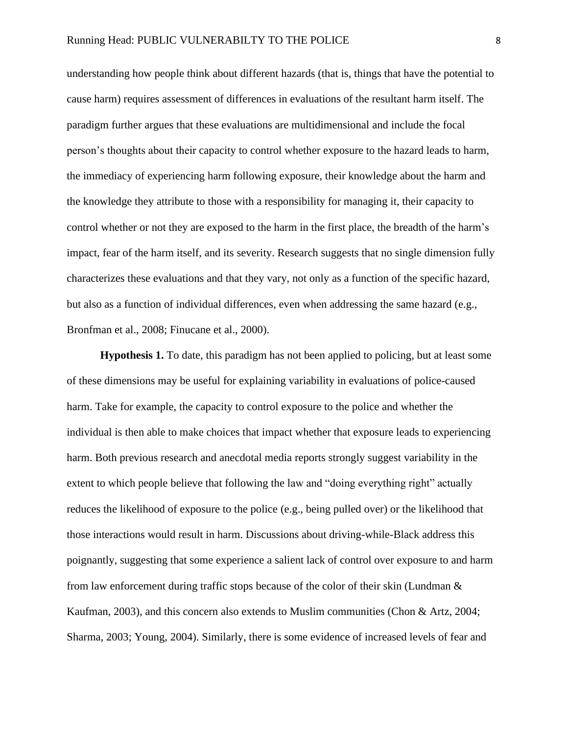understanding how people think about different hazards (that is, things that have the potential to cause harm) requires assessment of differences in evaluations of the resultant harm itself. The paradigm further argues that these evaluations are multidimensional and include the focal person's thoughts about their capacity to control whether exposure to the hazard leads to harm, the immediacy of experiencing harm following exposure, their knowledge about the harm and the knowledge they attribute to those with a responsibility for managing it, their capacity to control whether or not they are exposed to the harm in the first place, the breadth of the harm's impact, fear of the harm itself, and its severity. Research suggests that no single dimension fully characterizes these evaluations and that they vary, not only as a function of the specific hazard, but also as a function of individual differences, even when addressing the same hazard (e.g., Bronfman et al., 2008; Finucane et al., 2000).

**Hypothesis 1.** To date, this paradigm has not been applied to policing, but at least some of these dimensions may be useful for explaining variability in evaluations of police-caused harm. Take for example, the capacity to control exposure to the police and whether the individual is then able to make choices that impact whether that exposure leads to experiencing harm. Both previous research and anecdotal media reports strongly suggest variability in the extent to which people believe that following the law and "doing everything right" actually reduces the likelihood of exposure to the police (e.g., being pulled over) or the likelihood that those interactions would result in harm. Discussions about driving-while-Black address this poignantly, suggesting that some experience a salient lack of control over exposure to and harm from law enforcement during traffic stops because of the color of their skin (Lundman & Kaufman, 2003), and this concern also extends to Muslim communities (Chon & Artz, 2004; Sharma, 2003; Young, 2004). Similarly, there is some evidence of increased levels of fear and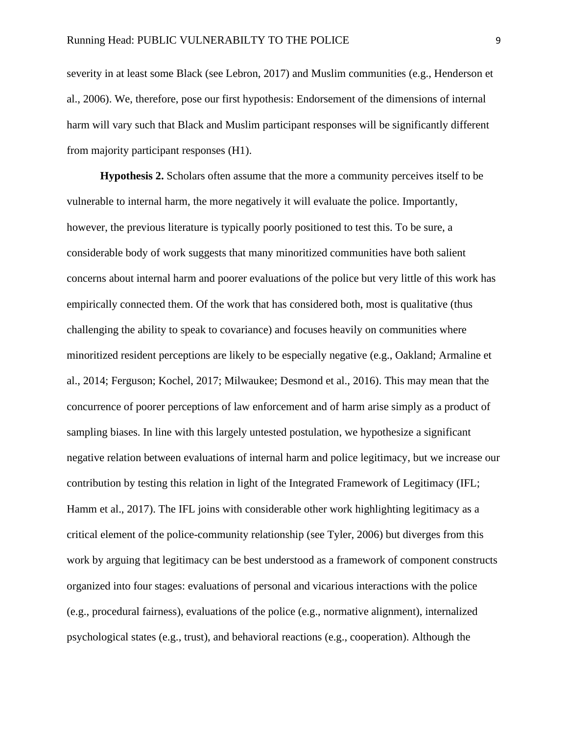severity in at least some Black (see Lebron, 2017) and Muslim communities (e.g., Henderson et al., 2006). We, therefore, pose our first hypothesis: Endorsement of the dimensions of internal harm will vary such that Black and Muslim participant responses will be significantly different from majority participant responses (H1).

**Hypothesis 2.** Scholars often assume that the more a community perceives itself to be vulnerable to internal harm, the more negatively it will evaluate the police. Importantly, however, the previous literature is typically poorly positioned to test this. To be sure, a considerable body of work suggests that many minoritized communities have both salient concerns about internal harm and poorer evaluations of the police but very little of this work has empirically connected them. Of the work that has considered both, most is qualitative (thus challenging the ability to speak to covariance) and focuses heavily on communities where minoritized resident perceptions are likely to be especially negative (e.g., Oakland; Armaline et al., 2014; Ferguson; Kochel, 2017; Milwaukee; Desmond et al., 2016). This may mean that the concurrence of poorer perceptions of law enforcement and of harm arise simply as a product of sampling biases. In line with this largely untested postulation, we hypothesize a significant negative relation between evaluations of internal harm and police legitimacy, but we increase our contribution by testing this relation in light of the Integrated Framework of Legitimacy (IFL; Hamm et al., 2017). The IFL joins with considerable other work highlighting legitimacy as a critical element of the police-community relationship (see Tyler, 2006) but diverges from this work by arguing that legitimacy can be best understood as a framework of component constructs organized into four stages: evaluations of personal and vicarious interactions with the police (e.g., procedural fairness), evaluations of the police (e.g., normative alignment), internalized psychological states (e.g., trust), and behavioral reactions (e.g., cooperation). Although the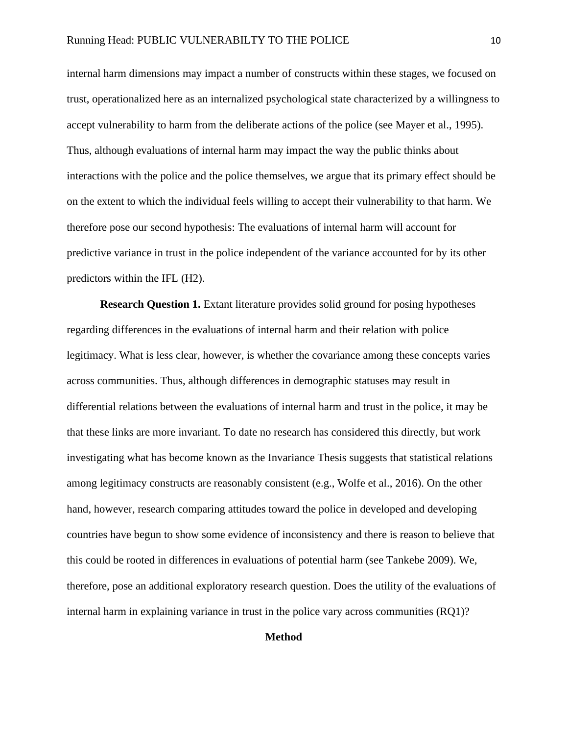internal harm dimensions may impact a number of constructs within these stages, we focused on trust, operationalized here as an internalized psychological state characterized by a willingness to accept vulnerability to harm from the deliberate actions of the police (see Mayer et al., 1995). Thus, although evaluations of internal harm may impact the way the public thinks about interactions with the police and the police themselves, we argue that its primary effect should be on the extent to which the individual feels willing to accept their vulnerability to that harm. We therefore pose our second hypothesis: The evaluations of internal harm will account for predictive variance in trust in the police independent of the variance accounted for by its other predictors within the IFL (H2).

**Research Question 1.** Extant literature provides solid ground for posing hypotheses regarding differences in the evaluations of internal harm and their relation with police legitimacy. What is less clear, however, is whether the covariance among these concepts varies across communities. Thus, although differences in demographic statuses may result in differential relations between the evaluations of internal harm and trust in the police, it may be that these links are more invariant. To date no research has considered this directly, but work investigating what has become known as the Invariance Thesis suggests that statistical relations among legitimacy constructs are reasonably consistent (e.g., Wolfe et al., 2016). On the other hand, however, research comparing attitudes toward the police in developed and developing countries have begun to show some evidence of inconsistency and there is reason to believe that this could be rooted in differences in evaluations of potential harm (see Tankebe 2009). We, therefore, pose an additional exploratory research question. Does the utility of the evaluations of internal harm in explaining variance in trust in the police vary across communities (RQ1)?

# **Method**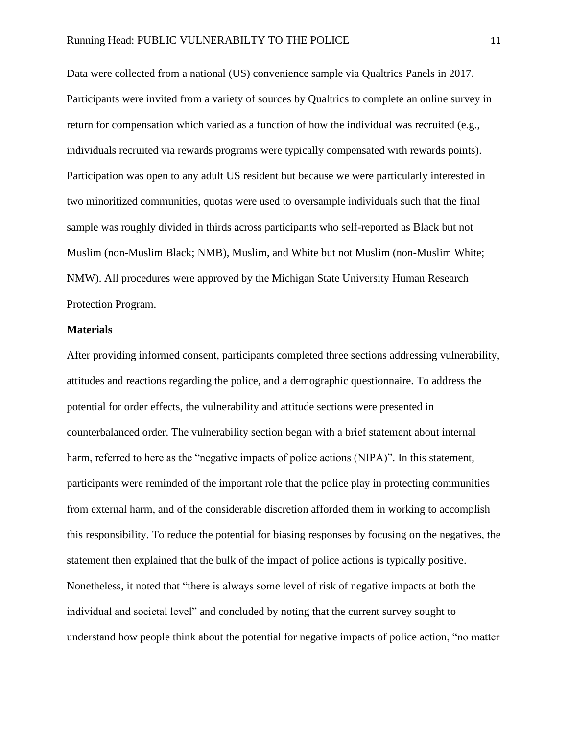Data were collected from a national (US) convenience sample via Qualtrics Panels in 2017. Participants were invited from a variety of sources by Qualtrics to complete an online survey in return for compensation which varied as a function of how the individual was recruited (e.g., individuals recruited via rewards programs were typically compensated with rewards points). Participation was open to any adult US resident but because we were particularly interested in two minoritized communities, quotas were used to oversample individuals such that the final sample was roughly divided in thirds across participants who self-reported as Black but not Muslim (non-Muslim Black; NMB), Muslim, and White but not Muslim (non-Muslim White; NMW). All procedures were approved by the Michigan State University Human Research Protection Program.

### **Materials**

After providing informed consent, participants completed three sections addressing vulnerability, attitudes and reactions regarding the police, and a demographic questionnaire. To address the potential for order effects, the vulnerability and attitude sections were presented in counterbalanced order. The vulnerability section began with a brief statement about internal harm, referred to here as the "negative impacts of police actions (NIPA)". In this statement, participants were reminded of the important role that the police play in protecting communities from external harm, and of the considerable discretion afforded them in working to accomplish this responsibility. To reduce the potential for biasing responses by focusing on the negatives, the statement then explained that the bulk of the impact of police actions is typically positive. Nonetheless, it noted that "there is always some level of risk of negative impacts at both the individual and societal level" and concluded by noting that the current survey sought to understand how people think about the potential for negative impacts of police action, "no matter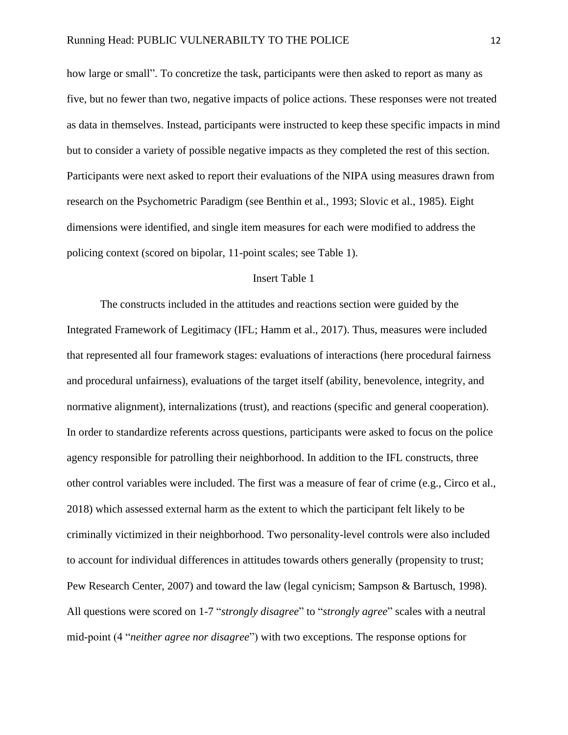how large or small". To concretize the task, participants were then asked to report as many as five, but no fewer than two, negative impacts of police actions. These responses were not treated as data in themselves. Instead, participants were instructed to keep these specific impacts in mind but to consider a variety of possible negative impacts as they completed the rest of this section. Participants were next asked to report their evaluations of the NIPA using measures drawn from research on the Psychometric Paradigm (see Benthin et al., 1993; Slovic et al., 1985). Eight dimensions were identified, and single item measures for each were modified to address the policing context (scored on bipolar, 11-point scales; see Table 1).

# Insert Table 1

The constructs included in the attitudes and reactions section were guided by the Integrated Framework of Legitimacy (IFL; Hamm et al., 2017). Thus, measures were included that represented all four framework stages: evaluations of interactions (here procedural fairness and procedural unfairness), evaluations of the target itself (ability, benevolence, integrity, and normative alignment), internalizations (trust), and reactions (specific and general cooperation). In order to standardize referents across questions, participants were asked to focus on the police agency responsible for patrolling their neighborhood. In addition to the IFL constructs, three other control variables were included. The first was a measure of fear of crime (e.g., Circo et al., 2018) which assessed external harm as the extent to which the participant felt likely to be criminally victimized in their neighborhood. Two personality-level controls were also included to account for individual differences in attitudes towards others generally (propensity to trust; Pew Research Center, 2007) and toward the law (legal cynicism; Sampson & Bartusch, 1998). All questions were scored on 1-7 "*strongly disagree*" to "*strongly agree*" scales with a neutral mid-point (4 "*neither agree nor disagree*") with two exceptions. The response options for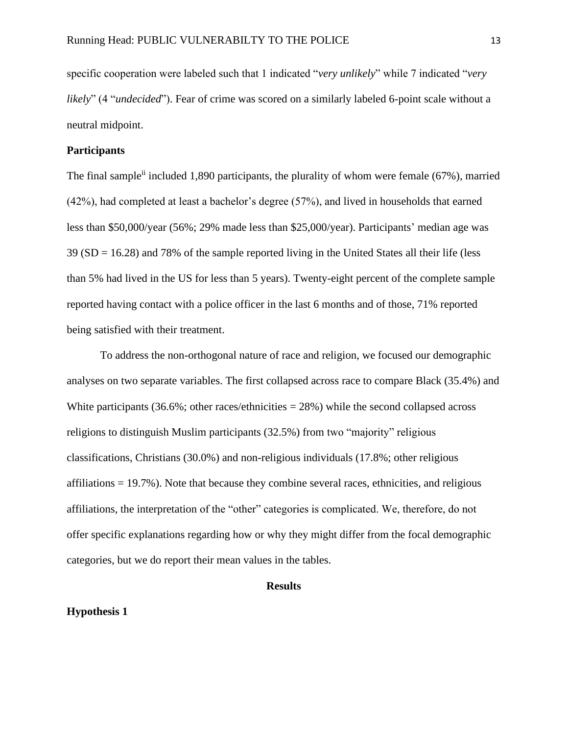specific cooperation were labeled such that 1 indicated "*very unlikely*" while 7 indicated "*very likely*" (4 "*undecided*"). Fear of crime was scored on a similarly labeled 6-point scale without a neutral midpoint.

# **Participants**

The final sample<sup>ii</sup> included 1,890 participants, the plurality of whom were female (67%), married (42%), had completed at least a bachelor's degree (57%), and lived in households that earned less than \$50,000/year (56%; 29% made less than \$25,000/year). Participants' median age was 39 (SD = 16.28) and 78% of the sample reported living in the United States all their life (less than 5% had lived in the US for less than 5 years). Twenty-eight percent of the complete sample reported having contact with a police officer in the last 6 months and of those, 71% reported being satisfied with their treatment.

To address the non-orthogonal nature of race and religion, we focused our demographic analyses on two separate variables. The first collapsed across race to compare Black (35.4%) and White participants  $(36.6\%;$  other races/ethnicities = 28%) while the second collapsed across religions to distinguish Muslim participants (32.5%) from two "majority" religious classifications, Christians (30.0%) and non-religious individuals (17.8%; other religious affiliations  $= 19.7\%$ ). Note that because they combine several races, ethnicities, and religious affiliations, the interpretation of the "other" categories is complicated. We, therefore, do not offer specific explanations regarding how or why they might differ from the focal demographic categories, but we do report their mean values in the tables.

#### **Results**

#### **Hypothesis 1**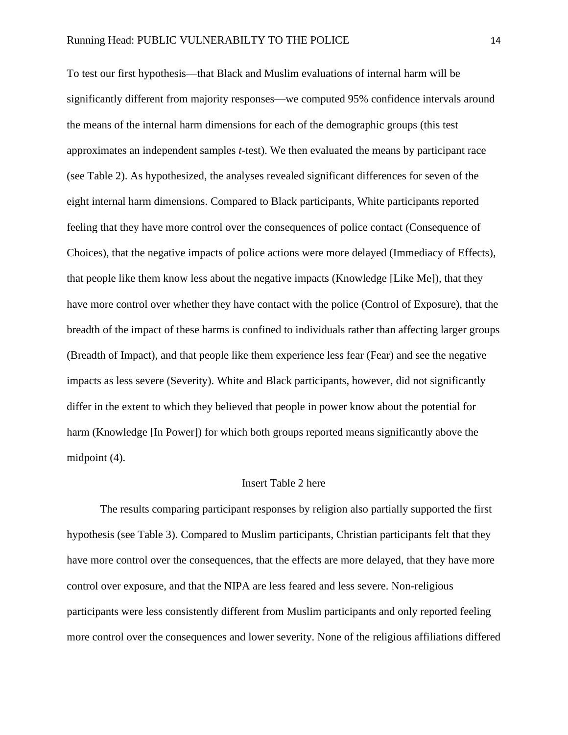To test our first hypothesis—that Black and Muslim evaluations of internal harm will be significantly different from majority responses—we computed 95% confidence intervals around the means of the internal harm dimensions for each of the demographic groups (this test approximates an independent samples *t*-test). We then evaluated the means by participant race (see Table 2). As hypothesized, the analyses revealed significant differences for seven of the eight internal harm dimensions. Compared to Black participants, White participants reported feeling that they have more control over the consequences of police contact (Consequence of Choices), that the negative impacts of police actions were more delayed (Immediacy of Effects), that people like them know less about the negative impacts (Knowledge [Like Me]), that they have more control over whether they have contact with the police (Control of Exposure), that the breadth of the impact of these harms is confined to individuals rather than affecting larger groups (Breadth of Impact), and that people like them experience less fear (Fear) and see the negative impacts as less severe (Severity). White and Black participants, however, did not significantly differ in the extent to which they believed that people in power know about the potential for harm (Knowledge [In Power]) for which both groups reported means significantly above the midpoint (4).

### Insert Table 2 here

The results comparing participant responses by religion also partially supported the first hypothesis (see Table 3). Compared to Muslim participants, Christian participants felt that they have more control over the consequences, that the effects are more delayed, that they have more control over exposure, and that the NIPA are less feared and less severe. Non-religious participants were less consistently different from Muslim participants and only reported feeling more control over the consequences and lower severity. None of the religious affiliations differed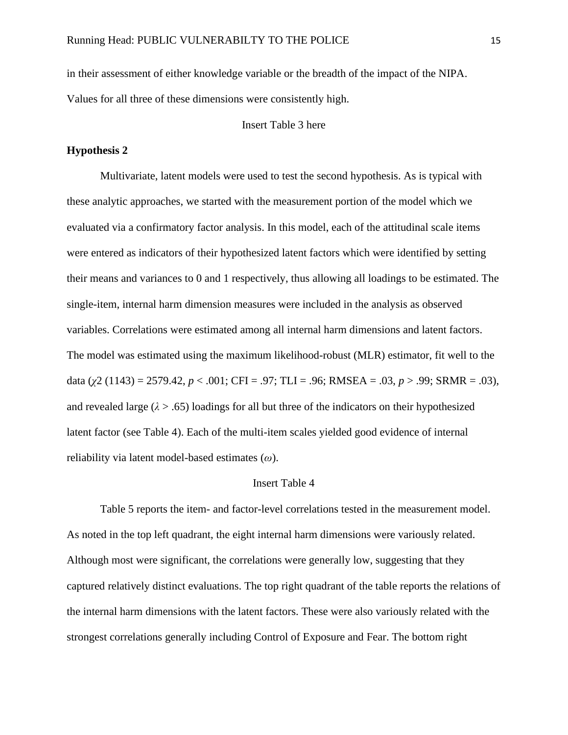in their assessment of either knowledge variable or the breadth of the impact of the NIPA. Values for all three of these dimensions were consistently high.

Insert Table 3 here

# **Hypothesis 2**

Multivariate, latent models were used to test the second hypothesis. As is typical with these analytic approaches, we started with the measurement portion of the model which we evaluated via a confirmatory factor analysis. In this model, each of the attitudinal scale items were entered as indicators of their hypothesized latent factors which were identified by setting their means and variances to 0 and 1 respectively, thus allowing all loadings to be estimated. The single-item, internal harm dimension measures were included in the analysis as observed variables. Correlations were estimated among all internal harm dimensions and latent factors. The model was estimated using the maximum likelihood-robust (MLR) estimator, fit well to the data (*χ*2 (1143) = 2579.42, *p* < .001; CFI = .97; TLI = .96; RMSEA = .03, *p* > .99; SRMR = .03), and revealed large  $(\lambda > .65)$  loadings for all but three of the indicators on their hypothesized latent factor (see Table 4). Each of the multi-item scales yielded good evidence of internal reliability via latent model-based estimates (*ω*).

### Insert Table 4

Table 5 reports the item- and factor-level correlations tested in the measurement model. As noted in the top left quadrant, the eight internal harm dimensions were variously related. Although most were significant, the correlations were generally low, suggesting that they captured relatively distinct evaluations. The top right quadrant of the table reports the relations of the internal harm dimensions with the latent factors. These were also variously related with the strongest correlations generally including Control of Exposure and Fear. The bottom right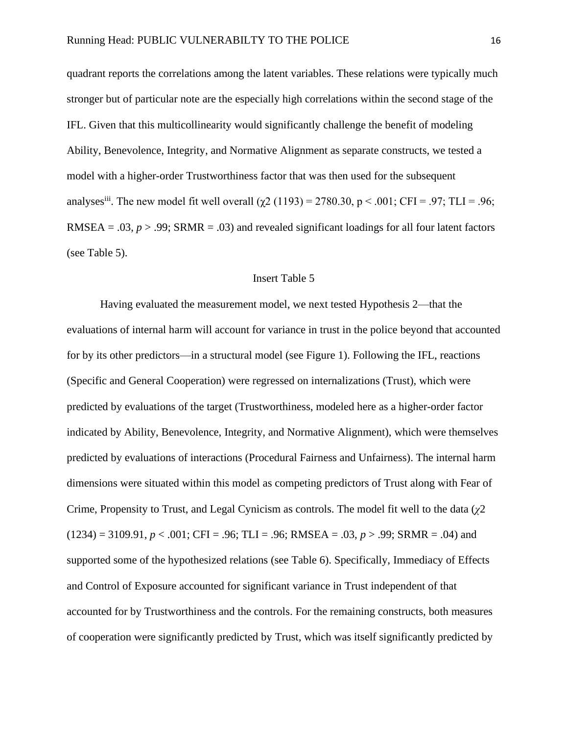quadrant reports the correlations among the latent variables. These relations were typically much stronger but of particular note are the especially high correlations within the second stage of the IFL. Given that this multicollinearity would significantly challenge the benefit of modeling Ability, Benevolence, Integrity, and Normative Alignment as separate constructs, we tested a model with a higher-order Trustworthiness factor that was then used for the subsequent analyses<sup>iii</sup>. The new model fit well overall  $(\chi^2 (1193) = 2780.30, p < .001; CFI = .97; TLI = .96;$ RMSEA = .03,  $p > .99$ ; SRMR = .03) and revealed significant loadings for all four latent factors (see Table 5).

### Insert Table 5

Having evaluated the measurement model, we next tested Hypothesis 2—that the evaluations of internal harm will account for variance in trust in the police beyond that accounted for by its other predictors—in a structural model (see Figure 1). Following the IFL, reactions (Specific and General Cooperation) were regressed on internalizations (Trust), which were predicted by evaluations of the target (Trustworthiness, modeled here as a higher-order factor indicated by Ability, Benevolence, Integrity, and Normative Alignment), which were themselves predicted by evaluations of interactions (Procedural Fairness and Unfairness). The internal harm dimensions were situated within this model as competing predictors of Trust along with Fear of Crime, Propensity to Trust, and Legal Cynicism as controls. The model fit well to the data (*χ*2  $(1234) = 3109.91, p < .001$ ; CFI = .96; TLI = .96; RMSEA = .03,  $p > .99$ ; SRMR = .04) and supported some of the hypothesized relations (see Table 6). Specifically, Immediacy of Effects and Control of Exposure accounted for significant variance in Trust independent of that accounted for by Trustworthiness and the controls. For the remaining constructs, both measures of cooperation were significantly predicted by Trust, which was itself significantly predicted by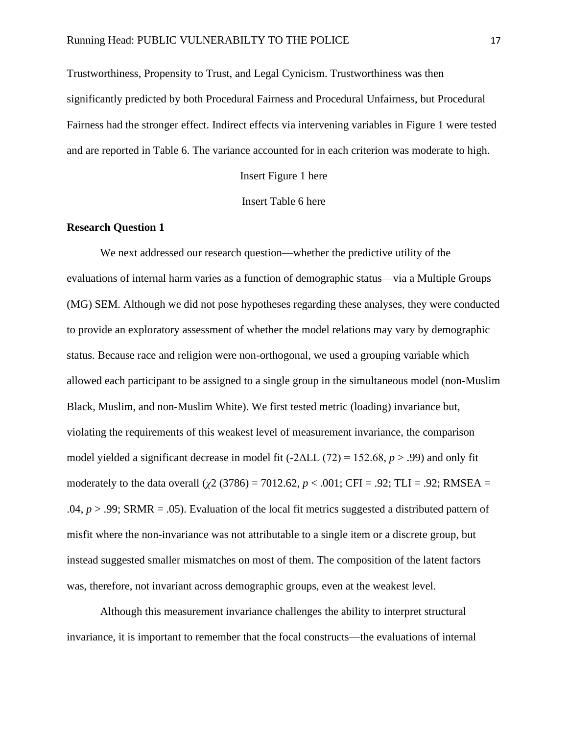Trustworthiness, Propensity to Trust, and Legal Cynicism. Trustworthiness was then significantly predicted by both Procedural Fairness and Procedural Unfairness, but Procedural Fairness had the stronger effect. Indirect effects via intervening variables in Figure 1 were tested and are reported in Table 6. The variance accounted for in each criterion was moderate to high.

Insert Figure 1 here

Insert Table 6 here

# **Research Question 1**

We next addressed our research question—whether the predictive utility of the evaluations of internal harm varies as a function of demographic status—via a Multiple Groups (MG) SEM. Although we did not pose hypotheses regarding these analyses, they were conducted to provide an exploratory assessment of whether the model relations may vary by demographic status. Because race and religion were non-orthogonal, we used a grouping variable which allowed each participant to be assigned to a single group in the simultaneous model (non-Muslim Black, Muslim, and non-Muslim White). We first tested metric (loading) invariance but, violating the requirements of this weakest level of measurement invariance, the comparison model yielded a significant decrease in model fit (-2ΔLL (72) = 152.68, *p* > .99) and only fit moderately to the data overall ( $\chi$ 2 (3786) = 7012.62, *p* < .001; CFI = .92; TLI = .92; RMSEA = .04,  $p > 0.99$ ; SRMR = .05). Evaluation of the local fit metrics suggested a distributed pattern of misfit where the non-invariance was not attributable to a single item or a discrete group, but instead suggested smaller mismatches on most of them. The composition of the latent factors was, therefore, not invariant across demographic groups, even at the weakest level.

Although this measurement invariance challenges the ability to interpret structural invariance, it is important to remember that the focal constructs—the evaluations of internal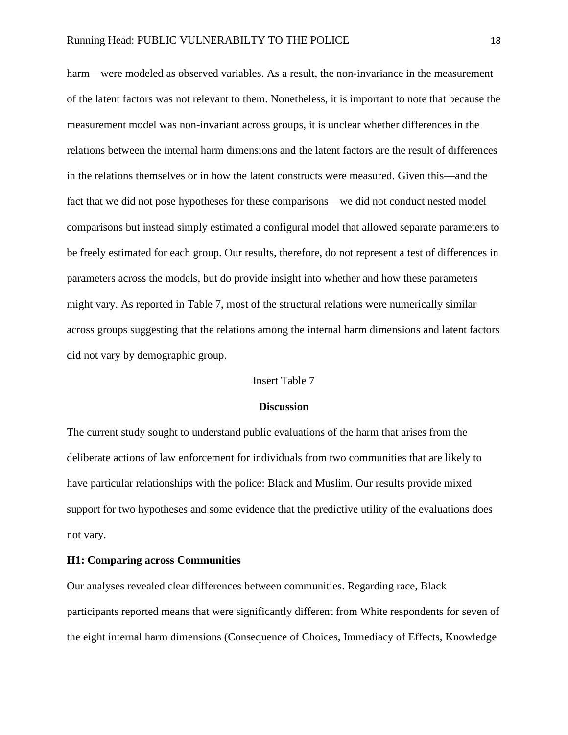harm—were modeled as observed variables. As a result, the non-invariance in the measurement of the latent factors was not relevant to them. Nonetheless, it is important to note that because the measurement model was non-invariant across groups, it is unclear whether differences in the relations between the internal harm dimensions and the latent factors are the result of differences in the relations themselves or in how the latent constructs were measured. Given this—and the fact that we did not pose hypotheses for these comparisons—we did not conduct nested model comparisons but instead simply estimated a configural model that allowed separate parameters to be freely estimated for each group. Our results, therefore, do not represent a test of differences in parameters across the models, but do provide insight into whether and how these parameters might vary. As reported in Table 7, most of the structural relations were numerically similar across groups suggesting that the relations among the internal harm dimensions and latent factors did not vary by demographic group.

### Insert Table 7

#### **Discussion**

The current study sought to understand public evaluations of the harm that arises from the deliberate actions of law enforcement for individuals from two communities that are likely to have particular relationships with the police: Black and Muslim. Our results provide mixed support for two hypotheses and some evidence that the predictive utility of the evaluations does not vary.

# **H1: Comparing across Communities**

Our analyses revealed clear differences between communities. Regarding race, Black participants reported means that were significantly different from White respondents for seven of the eight internal harm dimensions (Consequence of Choices, Immediacy of Effects, Knowledge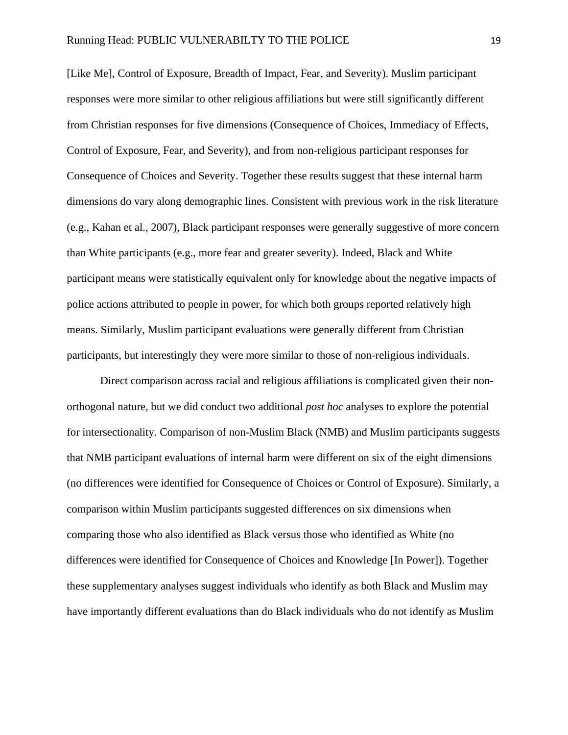[Like Me], Control of Exposure, Breadth of Impact, Fear, and Severity). Muslim participant responses were more similar to other religious affiliations but were still significantly different from Christian responses for five dimensions (Consequence of Choices, Immediacy of Effects, Control of Exposure, Fear, and Severity), and from non-religious participant responses for Consequence of Choices and Severity. Together these results suggest that these internal harm dimensions do vary along demographic lines. Consistent with previous work in the risk literature (e.g., Kahan et al., 2007), Black participant responses were generally suggestive of more concern than White participants (e.g., more fear and greater severity). Indeed, Black and White participant means were statistically equivalent only for knowledge about the negative impacts of police actions attributed to people in power, for which both groups reported relatively high means. Similarly, Muslim participant evaluations were generally different from Christian participants, but interestingly they were more similar to those of non-religious individuals.

Direct comparison across racial and religious affiliations is complicated given their nonorthogonal nature, but we did conduct two additional *post hoc* analyses to explore the potential for intersectionality. Comparison of non-Muslim Black (NMB) and Muslim participants suggests that NMB participant evaluations of internal harm were different on six of the eight dimensions (no differences were identified for Consequence of Choices or Control of Exposure). Similarly, a comparison within Muslim participants suggested differences on six dimensions when comparing those who also identified as Black versus those who identified as White (no differences were identified for Consequence of Choices and Knowledge [In Power]). Together these supplementary analyses suggest individuals who identify as both Black and Muslim may have importantly different evaluations than do Black individuals who do not identify as Muslim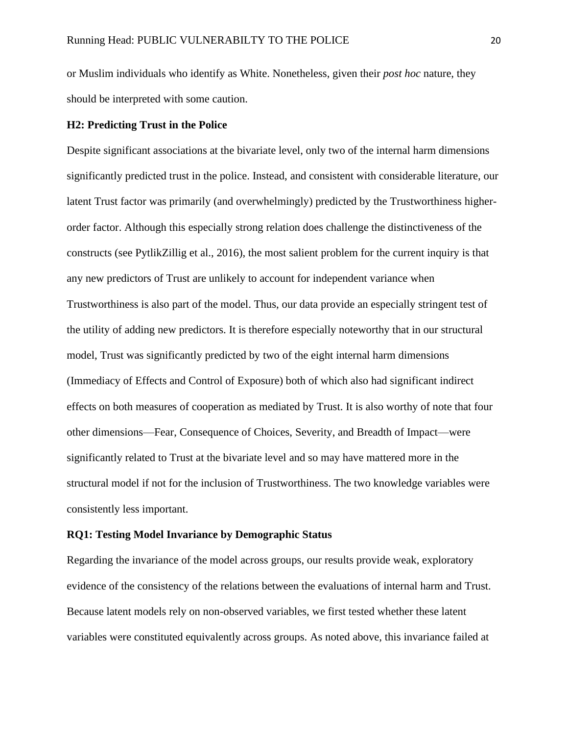or Muslim individuals who identify as White. Nonetheless, given their *post hoc* nature, they should be interpreted with some caution.

# **H2: Predicting Trust in the Police**

Despite significant associations at the bivariate level, only two of the internal harm dimensions significantly predicted trust in the police. Instead, and consistent with considerable literature, our latent Trust factor was primarily (and overwhelmingly) predicted by the Trustworthiness higherorder factor. Although this especially strong relation does challenge the distinctiveness of the constructs (see PytlikZillig et al., 2016), the most salient problem for the current inquiry is that any new predictors of Trust are unlikely to account for independent variance when Trustworthiness is also part of the model. Thus, our data provide an especially stringent test of the utility of adding new predictors. It is therefore especially noteworthy that in our structural model, Trust was significantly predicted by two of the eight internal harm dimensions (Immediacy of Effects and Control of Exposure) both of which also had significant indirect effects on both measures of cooperation as mediated by Trust. It is also worthy of note that four other dimensions—Fear, Consequence of Choices, Severity, and Breadth of Impact—were significantly related to Trust at the bivariate level and so may have mattered more in the structural model if not for the inclusion of Trustworthiness. The two knowledge variables were consistently less important.

#### **RQ1: Testing Model Invariance by Demographic Status**

Regarding the invariance of the model across groups, our results provide weak, exploratory evidence of the consistency of the relations between the evaluations of internal harm and Trust. Because latent models rely on non-observed variables, we first tested whether these latent variables were constituted equivalently across groups. As noted above, this invariance failed at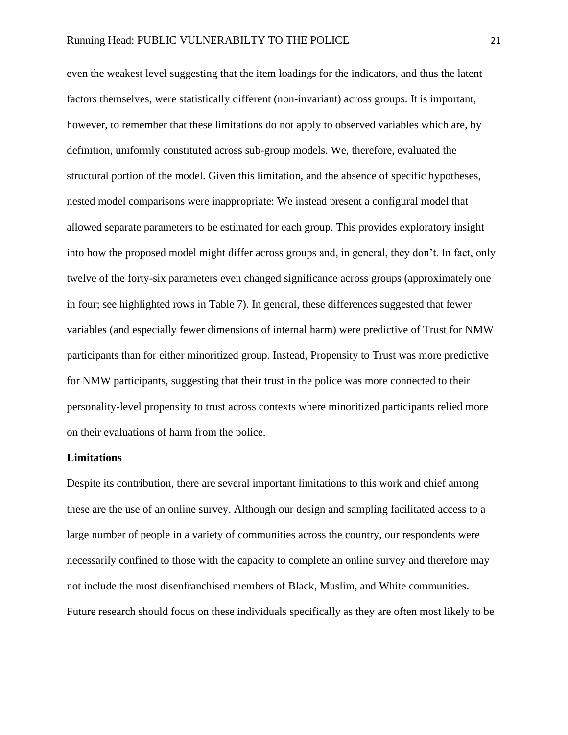even the weakest level suggesting that the item loadings for the indicators, and thus the latent factors themselves, were statistically different (non-invariant) across groups. It is important, however, to remember that these limitations do not apply to observed variables which are, by definition, uniformly constituted across sub-group models. We, therefore, evaluated the structural portion of the model. Given this limitation, and the absence of specific hypotheses, nested model comparisons were inappropriate: We instead present a configural model that allowed separate parameters to be estimated for each group. This provides exploratory insight into how the proposed model might differ across groups and, in general, they don't. In fact, only twelve of the forty-six parameters even changed significance across groups (approximately one in four; see highlighted rows in Table 7). In general, these differences suggested that fewer variables (and especially fewer dimensions of internal harm) were predictive of Trust for NMW participants than for either minoritized group. Instead, Propensity to Trust was more predictive for NMW participants, suggesting that their trust in the police was more connected to their personality-level propensity to trust across contexts where minoritized participants relied more on their evaluations of harm from the police.

### **Limitations**

Despite its contribution, there are several important limitations to this work and chief among these are the use of an online survey. Although our design and sampling facilitated access to a large number of people in a variety of communities across the country, our respondents were necessarily confined to those with the capacity to complete an online survey and therefore may not include the most disenfranchised members of Black, Muslim, and White communities. Future research should focus on these individuals specifically as they are often most likely to be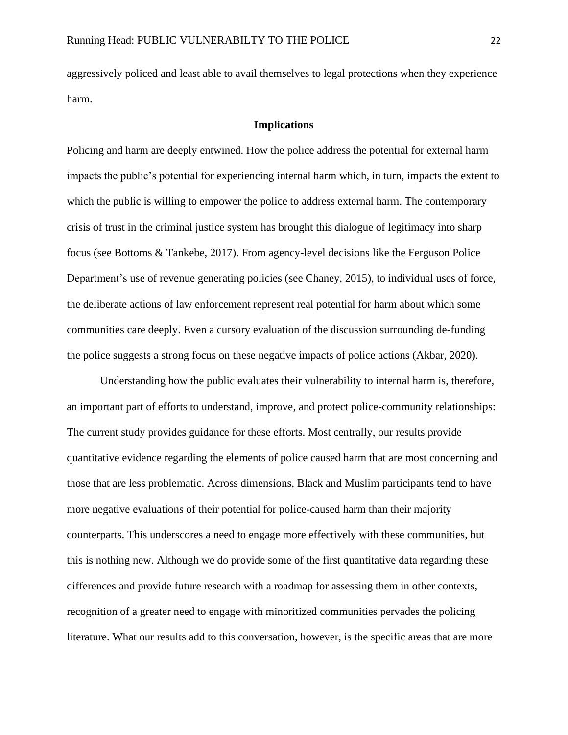aggressively policed and least able to avail themselves to legal protections when they experience harm.

## **Implications**

Policing and harm are deeply entwined. How the police address the potential for external harm impacts the public's potential for experiencing internal harm which, in turn, impacts the extent to which the public is willing to empower the police to address external harm. The contemporary crisis of trust in the criminal justice system has brought this dialogue of legitimacy into sharp focus (see Bottoms & Tankebe, 2017). From agency-level decisions like the Ferguson Police Department's use of revenue generating policies (see Chaney, 2015), to individual uses of force, the deliberate actions of law enforcement represent real potential for harm about which some communities care deeply. Even a cursory evaluation of the discussion surrounding de-funding the police suggests a strong focus on these negative impacts of police actions (Akbar, 2020).

Understanding how the public evaluates their vulnerability to internal harm is, therefore, an important part of efforts to understand, improve, and protect police-community relationships: The current study provides guidance for these efforts. Most centrally, our results provide quantitative evidence regarding the elements of police caused harm that are most concerning and those that are less problematic. Across dimensions, Black and Muslim participants tend to have more negative evaluations of their potential for police-caused harm than their majority counterparts. This underscores a need to engage more effectively with these communities, but this is nothing new. Although we do provide some of the first quantitative data regarding these differences and provide future research with a roadmap for assessing them in other contexts, recognition of a greater need to engage with minoritized communities pervades the policing literature. What our results add to this conversation, however, is the specific areas that are more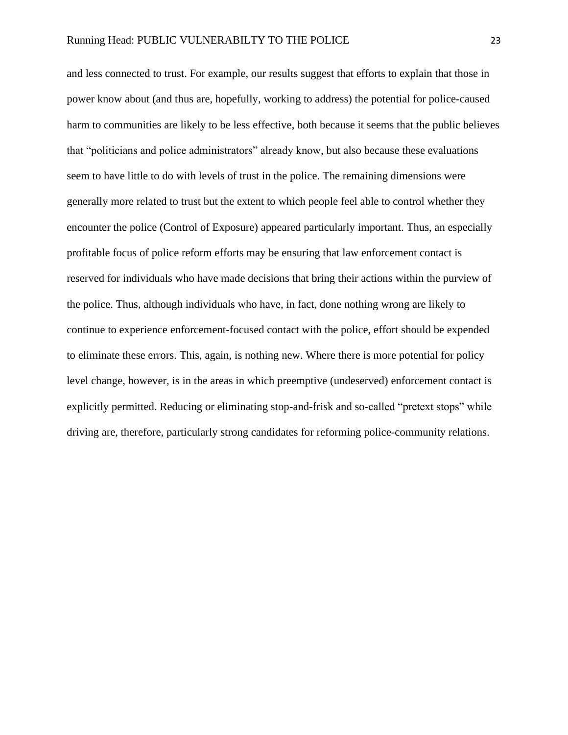and less connected to trust. For example, our results suggest that efforts to explain that those in power know about (and thus are, hopefully, working to address) the potential for police-caused harm to communities are likely to be less effective, both because it seems that the public believes that "politicians and police administrators" already know, but also because these evaluations seem to have little to do with levels of trust in the police. The remaining dimensions were generally more related to trust but the extent to which people feel able to control whether they encounter the police (Control of Exposure) appeared particularly important. Thus, an especially profitable focus of police reform efforts may be ensuring that law enforcement contact is reserved for individuals who have made decisions that bring their actions within the purview of the police. Thus, although individuals who have, in fact, done nothing wrong are likely to continue to experience enforcement-focused contact with the police, effort should be expended to eliminate these errors. This, again, is nothing new. Where there is more potential for policy level change, however, is in the areas in which preemptive (undeserved) enforcement contact is explicitly permitted. Reducing or eliminating stop-and-frisk and so-called "pretext stops" while driving are, therefore, particularly strong candidates for reforming police-community relations.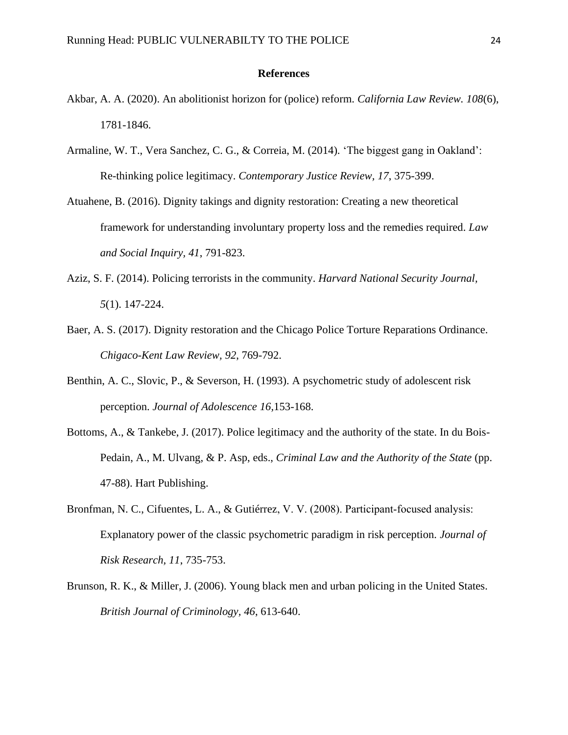### **References**

- Akbar, A. A. (2020). An abolitionist horizon for (police) reform. *California Law Review. 108*(6), 1781-1846.
- Armaline, W. T., Vera Sanchez, C. G., & Correia, M. (2014). 'The biggest gang in Oakland': Re-thinking police legitimacy. *Contemporary Justice Review, 17*, 375-399.
- Atuahene, B. (2016). Dignity takings and dignity restoration: Creating a new theoretical framework for understanding involuntary property loss and the remedies required. *Law and Social Inquiry, 41*, 791-823.
- Aziz, S. F. (2014). Policing terrorists in the community. *Harvard National Security Journal, 5*(1). 147-224.
- Baer, A. S. (2017). Dignity restoration and the Chicago Police Torture Reparations Ordinance. *Chigaco-Kent Law Review, 92*, 769-792.
- Benthin, A. C., Slovic, P., & Severson, H. (1993). A psychometric study of adolescent risk perception. *Journal of Adolescence 16,*153-168.
- Bottoms, A., & Tankebe, J. (2017). Police legitimacy and the authority of the state. In du Bois-Pedain, A., M. Ulvang, & P. Asp, eds., *Criminal Law and the Authority of the State* (pp. 47-88). Hart Publishing.
- Bronfman, N. C., Cifuentes, L. A., & Gutiérrez, V. V. (2008). Participant‐focused analysis: Explanatory power of the classic psychometric paradigm in risk perception. *Journal of Risk Research, 11*, 735-753.
- Brunson, R. K., & Miller, J. (2006). Young black men and urban policing in the United States. *British Journal of Criminology, 46*, 613-640.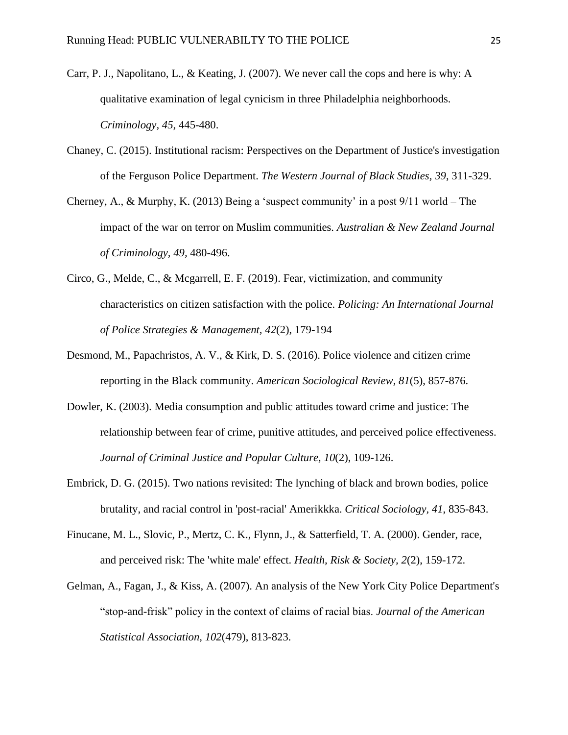- Carr, P. J., Napolitano, L., & Keating, J. (2007). We never call the cops and here is why: A qualitative examination of legal cynicism in three Philadelphia neighborhoods. *Criminology, 45*, 445-480.
- Chaney, C. (2015). Institutional racism: Perspectives on the Department of Justice's investigation of the Ferguson Police Department. *The Western Journal of Black Studies, 39*, 311-329.
- Cherney, A., & Murphy, K. (2013) Being a 'suspect community' in a post 9/11 world The impact of the war on terror on Muslim communities. *Australian & New Zealand Journal of Criminology, 49,* 480-496.
- Circo, G., Melde, C., & Mcgarrell, E. F. (2019). Fear, victimization, and community characteristics on citizen satisfaction with the police. *Policing: An International Journal of Police Strategies & Management, 42*(2), 179-194
- Desmond, M., Papachristos, A. V., & Kirk, D. S. (2016). Police violence and citizen crime reporting in the Black community. *American Sociological Review, 81*(5), 857-876.
- Dowler, K. (2003). Media consumption and public attitudes toward crime and justice: The relationship between fear of crime, punitive attitudes, and perceived police effectiveness. *Journal of Criminal Justice and Popular Culture, 10*(2), 109-126.
- Embrick, D. G. (2015). Two nations revisited: The lynching of black and brown bodies, police brutality, and racial control in 'post-racial' Amerikkka. *Critical Sociology, 41*, 835-843.
- Finucane, M. L., Slovic, P., Mertz, C. K., Flynn, J., & Satterfield, T. A. (2000). Gender, race, and perceived risk: The 'white male' effect. *Health, Risk & Society, 2*(2), 159-172.
- Gelman, A., Fagan, J., & Kiss, A. (2007). An analysis of the New York City Police Department's "stop-and-frisk" policy in the context of claims of racial bias. *Journal of the American Statistical Association, 102*(479), 813-823.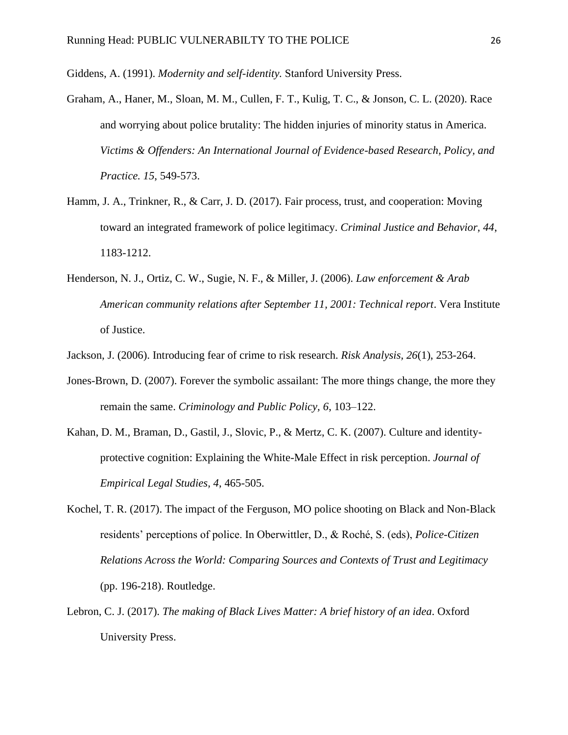Giddens, A. (1991). *Modernity and self-identity.* Stanford University Press.

- Graham, A., Haner, M., Sloan, M. M., Cullen, F. T., Kulig, T. C., & Jonson, C. L. (2020). Race and worrying about police brutality: The hidden injuries of minority status in America. *Victims & Offenders: An International Journal of Evidence-based Research, Policy, and Practice. 15*, 549-573.
- Hamm, J. A., Trinkner, R., & Carr, J. D. (2017). Fair process, trust, and cooperation: Moving toward an integrated framework of police legitimacy. *Criminal Justice and Behavior, 44*, 1183-1212.
- Henderson, N. J., Ortiz, C. W., Sugie, N. F., & Miller, J. (2006). *Law enforcement & Arab American community relations after September 11, 2001: Technical report*. Vera Institute of Justice.
- Jackson, J. (2006). Introducing fear of crime to risk research. *Risk Analysis, 26*(1), 253-264.
- Jones-Brown, D. (2007). Forever the symbolic assailant: The more things change, the more they remain the same. *Criminology and Public Policy, 6*, 103–122.
- Kahan, D. M., Braman, D., Gastil, J., Slovic, P., & Mertz, C. K. (2007). Culture and identityprotective cognition: Explaining the White-Male Effect in risk perception. *Journal of Empirical Legal Studies, 4*, 465-505.
- Kochel, T. R. (2017). The impact of the Ferguson, MO police shooting on Black and Non-Black residents' perceptions of police. In Oberwittler, D., & Roché, S. (eds), *Police-Citizen Relations Across the World: Comparing Sources and Contexts of Trust and Legitimacy* (pp. 196-218). Routledge.
- Lebron, C. J. (2017). *The making of Black Lives Matter: A brief history of an idea*. Oxford University Press.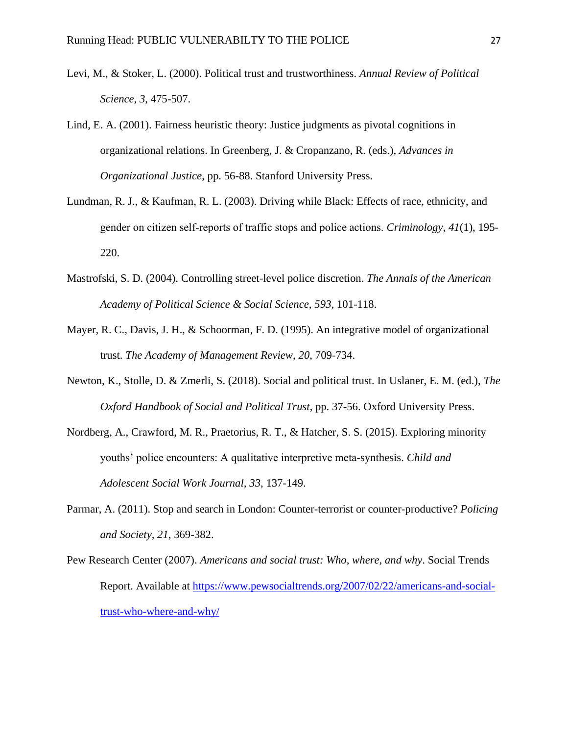- Levi, M., & Stoker, L. (2000). Political trust and trustworthiness. *Annual Review of Political Science, 3*, 475-507.
- Lind, E. A. (2001). Fairness heuristic theory: Justice judgments as pivotal cognitions in organizational relations. In Greenberg, J. & Cropanzano, R. (eds.), *Advances in Organizational Justice*, pp. 56-88. Stanford University Press.
- Lundman, R. J., & Kaufman, R. L. (2003). Driving while Black: Effects of race, ethnicity, and gender on citizen self‐reports of traffic stops and police actions. *Criminology, 41*(1), 195- 220.
- Mastrofski, S. D. (2004). Controlling street-level police discretion. *The Annals of the American Academy of Political Science & Social Science, 593,* 101-118.
- Mayer, R. C., Davis, J. H., & Schoorman, F. D. (1995). An integrative model of organizational trust. *The Academy of Management Review, 20*, 709-734.
- Newton, K., Stolle, D. & Zmerli, S. (2018). Social and political trust. In Uslaner, E. M. (ed.), *The Oxford Handbook of Social and Political Trust*, pp. 37-56. Oxford University Press.
- Nordberg, A., Crawford, M. R., Praetorius, R. T., & Hatcher, S. S. (2015). Exploring minority youths' police encounters: A qualitative interpretive meta-synthesis. *Child and Adolescent Social Work Journal, 33*, 137-149.
- Parmar, A. (2011). Stop and search in London: Counter-terrorist or counter-productive? *Policing and Society, 21*, 369-382.
- Pew Research Center (2007). *Americans and social trust: Who, where, and why*. Social Trends Report. Available at [https://www.pewsocialtrends.org/2007/02/22/americans-and-social](https://www.pewsocialtrends.org/2007/02/22/americans-and-social-trust-who-where-and-why/)[trust-who-where-and-why/](https://www.pewsocialtrends.org/2007/02/22/americans-and-social-trust-who-where-and-why/)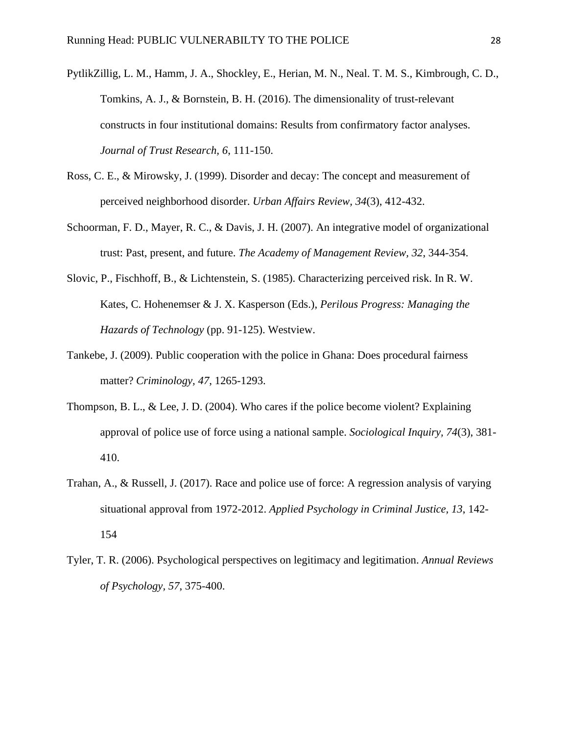- PytlikZillig, L. M., Hamm, J. A., Shockley, E., Herian, M. N., Neal. T. M. S., Kimbrough, C. D., Tomkins, A. J., & Bornstein, B. H. (2016). The dimensionality of trust-relevant constructs in four institutional domains: Results from confirmatory factor analyses. *Journal of Trust Research, 6*, 111-150.
- Ross, C. E., & Mirowsky, J. (1999). Disorder and decay: The concept and measurement of perceived neighborhood disorder. *Urban Affairs Review, 34*(3), 412-432.
- Schoorman, F. D., Mayer, R. C., & Davis, J. H. (2007). An integrative model of organizational trust: Past, present, and future. *The Academy of Management Review, 32*, 344-354.
- Slovic, P., Fischhoff, B., & Lichtenstein, S. (1985). Characterizing perceived risk. In R. W. Kates, C. Hohenemser & J. X. Kasperson (Eds.), *Perilous Progress: Managing the Hazards of Technology* (pp. 91-125). Westview.
- Tankebe, J. (2009). Public cooperation with the police in Ghana: Does procedural fairness matter? *Criminology, 47*, 1265-1293.
- Thompson, B. L., & Lee, J. D. (2004). Who cares if the police become violent? Explaining approval of police use of force using a national sample. *Sociological Inquiry, 74*(3), 381- 410.
- Trahan, A., & Russell, J. (2017). Race and police use of force: A regression analysis of varying situational approval from 1972-2012. *Applied Psychology in Criminal Justice, 13*, 142- 154
- Tyler, T. R. (2006). Psychological perspectives on legitimacy and legitimation. *Annual Reviews of Psychology, 57*, 375-400.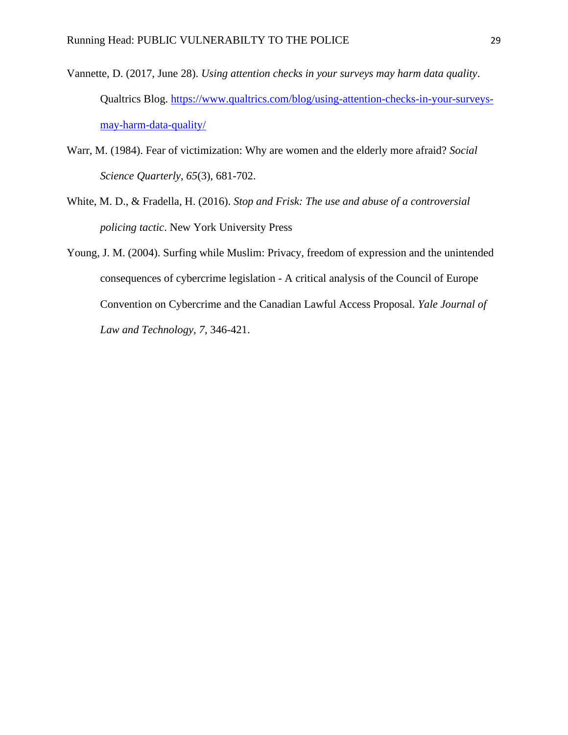- Vannette, D. (2017, June 28). *Using attention checks in your surveys may harm data quality*. Qualtrics Blog. [https://www.qualtrics.com/blog/using-attention-checks-in-your-surveys](https://www.qualtrics.com/blog/using-attention-checks-in-your-surveys-may-harm-data-quality/)[may-harm-data-quality/](https://www.qualtrics.com/blog/using-attention-checks-in-your-surveys-may-harm-data-quality/)
- Warr, M. (1984). Fear of victimization: Why are women and the elderly more afraid? *Social Science Quarterly, 65*(3), 681-702.
- White, M. D., & Fradella, H. (2016). *Stop and Frisk: The use and abuse of a controversial policing tactic*. New York University Press
- Young, J. M. (2004). Surfing while Muslim: Privacy, freedom of expression and the unintended consequences of cybercrime legislation - A critical analysis of the Council of Europe Convention on Cybercrime and the Canadian Lawful Access Proposal. *Yale Journal of Law and Technology, 7*, 346-421.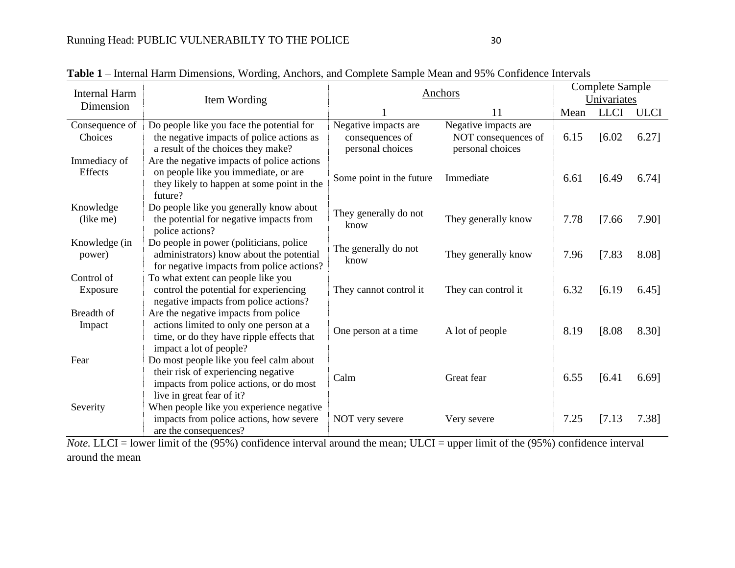| <b>Internal Harm</b>      |                                                                                                                                                         | Anchors                                                     | <b>Complete Sample</b>                                          |      |             |             |
|---------------------------|---------------------------------------------------------------------------------------------------------------------------------------------------------|-------------------------------------------------------------|-----------------------------------------------------------------|------|-------------|-------------|
| Dimension                 | Item Wording                                                                                                                                            |                                                             |                                                                 |      | Univariates |             |
|                           |                                                                                                                                                         |                                                             | 11                                                              | Mean | <b>LLCI</b> | <b>ULCI</b> |
| Consequence of<br>Choices | Do people like you face the potential for<br>the negative impacts of police actions as<br>a result of the choices they make?                            | Negative impacts are<br>consequences of<br>personal choices | Negative impacts are<br>NOT consequences of<br>personal choices | 6.15 | [6.02]      | 6.27]       |
| Immediacy of<br>Effects   | Are the negative impacts of police actions<br>on people like you immediate, or are<br>they likely to happen at some point in the<br>future?             | Some point in the future                                    | Immediate                                                       | 6.61 | [6.49]      | 6.74]       |
| Knowledge<br>(like me)    | Do people like you generally know about<br>the potential for negative impacts from<br>police actions?                                                   | They generally do not<br>know                               | They generally know                                             | 7.78 | [7.66]      | 7.90]       |
| Knowledge (in<br>power)   | Do people in power (politicians, police<br>administrators) know about the potential<br>for negative impacts from police actions?                        | The generally do not<br>know                                | They generally know                                             | 7.96 | [7.83]      | 8.08]       |
| Control of<br>Exposure    | To what extent can people like you<br>control the potential for experiencing<br>negative impacts from police actions?                                   | They cannot control it                                      | They can control it                                             | 6.32 | [6.19]      | 6.45]       |
| Breadth of<br>Impact      | Are the negative impacts from police<br>actions limited to only one person at a<br>time, or do they have ripple effects that<br>impact a lot of people? | One person at a time                                        | A lot of people                                                 | 8.19 | [8.08]      | 8.30]       |
| Fear                      | Do most people like you feel calm about<br>their risk of experiencing negative<br>impacts from police actions, or do most<br>live in great fear of it?  | Calm                                                        | Great fear                                                      | 6.55 | [6.41]      | 6.69]       |
| Severity                  | When people like you experience negative<br>impacts from police actions, how severe<br>are the consequences?                                            | NOT very severe                                             | Very severe                                                     | 7.25 | [7.13]      | 7.38]       |

**Table 1** – Internal Harm Dimensions, Wording, Anchors, and Complete Sample Mean and 95% Confidence Intervals

*Note.* LLCI = lower limit of the (95%) confidence interval around the mean; ULCI = upper limit of the (95%) confidence interval around the mean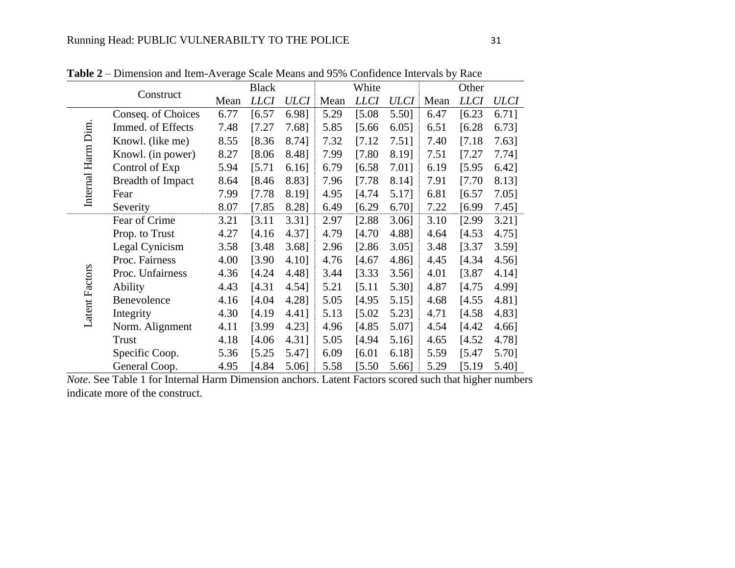|                       |                          |      | <b>Black</b> |             |      | White       |             |      | Other       |          |
|-----------------------|--------------------------|------|--------------|-------------|------|-------------|-------------|------|-------------|----------|
|                       | Construct                | Mean | <b>LLCI</b>  | <b>ULCI</b> | Mean | <b>LLCI</b> | <b>ULCI</b> | Mean | <b>LLCI</b> | ULCI     |
|                       | Conseq. of Choices       | 6.77 | [6.57]       | 6.98]       | 5.29 | [5.08]      | 5.50]       | 6.47 | [6.23]      | 6.71]    |
|                       | Immed. of Effects        | 7.48 | [7.27]       | 7.68]       | 5.85 | [5.66]      | $6.05$ ]    | 6.51 | [6.28]      | 6.73]    |
|                       | Knowl. (like me)         | 8.55 | [8.36]       | 8.74]       | 7.32 | [7.12]      | $7.51$ ]    | 7.40 | [7.18]      | 7.63]    |
|                       | Knowl. (in power)        | 8.27 | [8.06]       | 8.48]       | 7.99 | [7.80]      | 8.19]       | 7.51 | [7.27]      | $7.74$ ] |
| Internal Harm Dim     | Control of Exp           | 5.94 | [5.71]       | $6.16$ ]    | 6.79 | [6.58]      | 7.01]       | 6.19 | [5.95]      | 6.42]    |
|                       | <b>Breadth of Impact</b> | 8.64 | [8.46]       | 8.831       | 7.96 | [7.78]      | 8.14]       | 7.91 | [7.70]      | 8.13]    |
|                       | Fear                     | 7.99 | [7.78]       | 8.19]       | 4.95 | [4.74]      | 5.17]       | 6.81 | [6.57]      | $7.05$ ] |
|                       | Severity                 | 8.07 | [7.85]       | 8.28]       | 6.49 | [6.29]      | 6.70]       | 7.22 | [6.99]      | $7.45$ ] |
|                       | Fear of Crime            | 3.21 | [3.11]       | $3.31$ ]    | 2.97 | [2.88]      | $3.06$ ]    | 3.10 | [2.99]      | $3.21$ ] |
|                       | Prop. to Trust           | 4.27 | [4.16]       | 4.37]       | 4.79 | [4.70]      | 4.88]       | 4.64 | [4.53]      | 4.75]    |
|                       | Legal Cynicism           | 3.58 | [3.48]       | 3.68]       | 2.96 | [2.86]      | $3.05$ ]    | 3.48 | [3.37]      | $3.59$ ] |
|                       | Proc. Fairness           | 4.00 | [3.90]       | 4.10]       | 4.76 | [4.67]      | 4.86]       | 4.45 | [4.34]      | $4.56$ ] |
|                       | Proc. Unfairness         | 4.36 | [4.24]       | 4.48]       | 3.44 | [3.33]      | $3.56$ ]    | 4.01 | [3.87]      | 4.14]    |
| <b>Latent Factors</b> | Ability                  | 4.43 | [4.31]       | 4.54]       | 5.21 | [5.11]      | 5.30]       | 4.87 | [4.75]      | 4.99]    |
|                       | Benevolence              | 4.16 | [4.04]       | 4.28]       | 5.05 | [4.95]      | 5.15]       | 4.68 | [4.55]      | 4.81]    |
|                       | Integrity                | 4.30 | [4.19]       | 4.41]       | 5.13 | [5.02]      | 5.23]       | 4.71 | [4.58]      | 4.83]    |
|                       | Norm. Alignment          | 4.11 | [3.99]       | 4.23]       | 4.96 | [4.85]      | 5.07]       | 4.54 | [4.42]      | 4.66]    |
|                       | Trust                    | 4.18 | [4.06]       | 4.31]       | 5.05 | [4.94]      | 5.16]       | 4.65 | [4.52]      | 4.78]    |
|                       | Specific Coop.           | 5.36 | [5.25]       | 5.47]       | 6.09 | [6.01]      | 6.18]       | 5.59 | [5.47]      | 5.70]    |
|                       | General Coop.            | 4.95 | [4.84]       | 5.06]       | 5.58 | [5.50]      | 5.66]       | 5.29 | [5.19]      | 5.40]    |

**Table 2** – Dimension and Item-Average Scale Means and 95% Confidence Intervals by Race

*Note*. See Table 1 for Internal Harm Dimension anchors. Latent Factors scored such that higher numbers indicate more of the construct.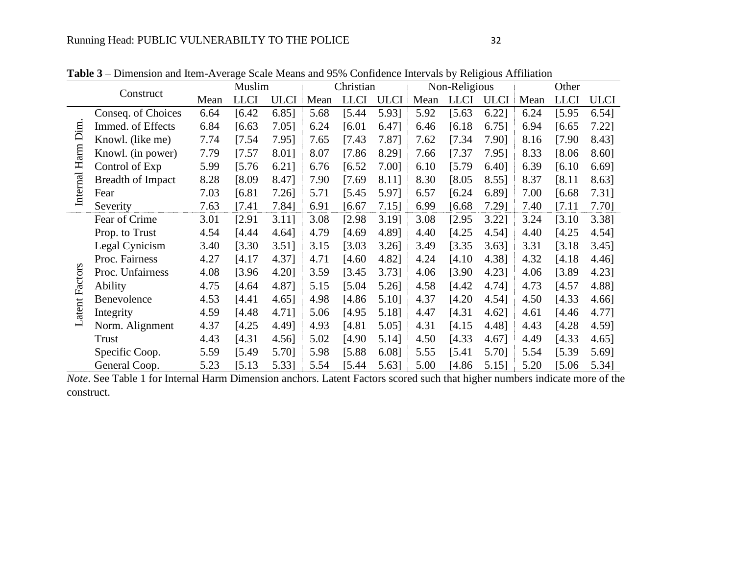|                |                          |      | Muslim      |             |      | Christian   |             |      | Non-Religious |             | Other |             |             |  |
|----------------|--------------------------|------|-------------|-------------|------|-------------|-------------|------|---------------|-------------|-------|-------------|-------------|--|
|                | Construct                | Mean | <b>LLCI</b> | <b>ULCI</b> | Mean | <b>LLCI</b> | <b>ULCI</b> | Mean | <b>LLCI</b>   | <b>ULCI</b> | Mean  | <b>LLCI</b> | <b>ULCI</b> |  |
|                | Conseq. of Choices       | 6.64 | [6.42]      | $6.85$ ]    | 5.68 | [5.44]      | 5.93]       | 5.92 | [5.63]        | $6.22$ ]    | 6.24  | [5.95]      | $6.54$ ]    |  |
|                | Immed. of Effects        | 6.84 | [6.63]      | $7.05$ ]    | 6.24 | [6.01]      | 6.47]       | 6.46 | [6.18]        | $6.75$ ]    | 6.94  | [6.65]      | $7.22$ ]    |  |
| Harm Dim       | Knowl. (like me)         | 7.74 | [7.54]      | 7.951       | 7.65 | [7.43]      | 7.87]       | 7.62 | [7.34]        | 7.90]       | 8.16  | [7.90]      | 8.43]       |  |
|                | Knowl. (in power)        | 7.79 | [7.57]      | 8.01]       | 8.07 | [7.86]      | 8.29]       | 7.66 | [7.37]        | 7.95]       | 8.33  | [8.06]      | 8.60]       |  |
|                | Control of Exp           | 5.99 | [5.76]      | $6.21$ ]    | 6.76 | [6.52]      | 7.001       | 6.10 | $[5.79$       | $6.40$ ]    | 6.39  | [6.10]      | 6.69]       |  |
| Internal       | <b>Breadth of Impact</b> | 8.28 | [8.09]      | 8.47]       | 7.90 | [7.69]      | 8.11]       | 8.30 | [8.05]        | 8.55]       | 8.37  | [8.11]      | 8.63]       |  |
|                | Fear                     | 7.03 | [6.81]      | $7.26$ ]    | 5.71 | [5.45]      | 5.97]       | 6.57 | [6.24]        | 6.89]       | 7.00  | [6.68]      | 7.31]       |  |
|                | Severity                 | 7.63 | [7.41]      | 7.841       | 6.91 | [6.67]      | 7.151       | 6.99 | [6.68]        | 7.29]       | 7.40  | [7.11]      | 7.70]       |  |
|                | Fear of Crime            | 3.01 | [2.91]      | $3.11$ ]    | 3.08 | [2.98]      | 3.19]       | 3.08 | [2.95]        | $3.22$ ]    | 3.24  | [3.10]      | 3.38]       |  |
|                | Prop. to Trust           | 4.54 | [4.44]      | 4.64]       | 4.79 | [4.69]      | 4.89]       | 4.40 | [4.25]        | 4.54]       | 4.40  | [4.25]      | 4.54]       |  |
|                | Legal Cynicism           | 3.40 | [3.30]      | $3.51$ ]    | 3.15 | [3.03]      | $3.26$ ]    | 3.49 | [3.35]        | $3.63$ ]    | 3.31  | [3.18]      | $3.45$ ]    |  |
|                | Proc. Fairness           | 4.27 | [4.17]      | 4.37]       | 4.71 | [4.60]      | 4.82]       | 4.24 | [4.10]        | 4.38]       | 4.32  | [4.18]      | 4.46]       |  |
|                | Proc. Unfairness         | 4.08 | [3.96]      | 4.20]       | 3.59 | [3.45]      | 3.73]       | 4.06 | [3.90]        | 4.23]       | 4.06  | [3.89]      | 4.23]       |  |
| Latent Factors | Ability                  | 4.75 | [4.64]      | 4.87]       | 5.15 | [5.04]      | 5.26]       | 4.58 | [4.42]        | 4.741       | 4.73  | [4.57]      | 4.881       |  |
|                | Benevolence              | 4.53 | [4.41]      | 4.65]       | 4.98 | [4.86]      | 5.10]       | 4.37 | [4.20]        | 4.54]       | 4.50  | [4.33]      | 4.66]       |  |
|                | Integrity                | 4.59 | [4.48]      | 4.711       | 5.06 | [4.95]      | 5.18]       | 4.47 | [4.31]        | $4.62$ ]    | 4.61  | [4.46]      | 4.77]       |  |
|                | Norm. Alignment          | 4.37 | [4.25]      | 4.49]       | 4.93 | [4.81]      | 5.05]       | 4.31 | [4.15]        | 4.481       | 4.43  | [4.28]      | 4.59]       |  |
|                | Trust                    | 4.43 | [4.31]      | 4.56]       | 5.02 | [4.90]      | 5.14]       | 4.50 | [4.33]        | 4.67]       | 4.49  | [4.33]      | $4.65$ ]    |  |
|                | Specific Coop.           | 5.59 | [5.49]      | 5.70]       | 5.98 | [5.88]      | 6.08]       | 5.55 | [5.41]        | 5.70]       | 5.54  | [5.39]      | 5.69]       |  |
|                | General Coop.            | 5.23 | [5.13]      | 5.33]       | 5.54 | [5.44]      | 5.63]       | 5.00 | $[4.86$       | 5.15]       | 5.20  | [5.06]      | 5.34]       |  |

**Table 3** – Dimension and Item-Average Scale Means and 95% Confidence Intervals by Religious Affiliation

*Note*. See Table 1 for Internal Harm Dimension anchors. Latent Factors scored such that higher numbers indicate more of the construct.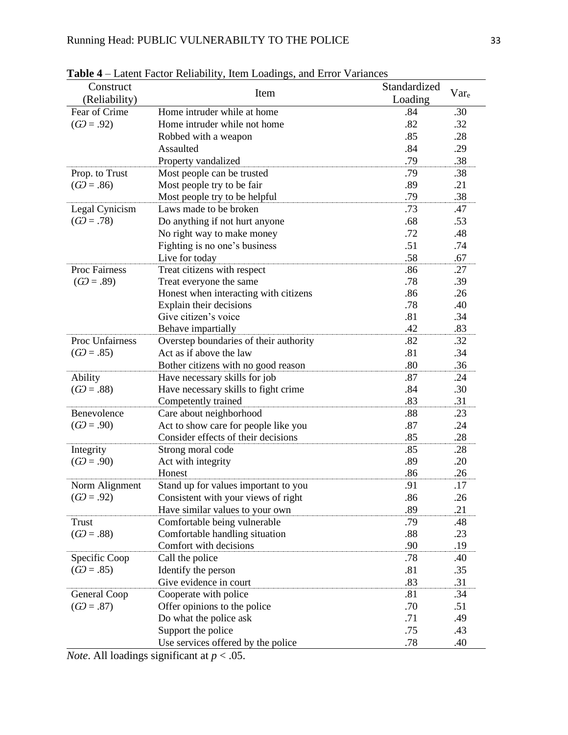|                        | <b>Table <math>\rightarrow</math></b> - Latent Pactor Kenability, hem Loadings, and Effort Variances |              |      |
|------------------------|------------------------------------------------------------------------------------------------------|--------------|------|
| Construct              | Item                                                                                                 | Standardized | Vare |
| (Reliability)          |                                                                                                      | Loading      |      |
| Fear of Crime          | Home intruder while at home                                                                          | .84          | .30  |
| $(G2 = .92)$           | Home intruder while not home                                                                         | .82          | .32  |
|                        | Robbed with a weapon                                                                                 | .85          | .28  |
|                        | Assaulted                                                                                            | .84          | .29  |
|                        | Property vandalized                                                                                  | .79          | .38  |
| Prop. to Trust         | Most people can be trusted                                                                           | .79          | .38  |
| $(G2=.86)$             | Most people try to be fair                                                                           | .89          | .21  |
|                        | Most people try to be helpful                                                                        | .79          | .38  |
| Legal Cynicism         | Laws made to be broken                                                                               | .73          | .47  |
| $(G2=.78)$             | Do anything if not hurt anyone                                                                       | .68          | .53  |
|                        | No right way to make money                                                                           | .72          | .48  |
|                        | Fighting is no one's business                                                                        | .51          | .74  |
|                        | Live for today                                                                                       | .58          | .67  |
| <b>Proc Fairness</b>   | Treat citizens with respect                                                                          | .86          | .27  |
| $(G2=.89)$             | Treat everyone the same                                                                              | .78          | .39  |
|                        | Honest when interacting with citizens                                                                | .86          | .26  |
|                        | Explain their decisions                                                                              | .78          | .40  |
|                        | Give citizen's voice                                                                                 | .81          | .34  |
|                        | Behave impartially                                                                                   | .42          | .83  |
| <b>Proc Unfairness</b> | Overstep boundaries of their authority                                                               | .82          | .32  |
| $(G2=.85)$             | Act as if above the law                                                                              | .81          | .34  |
|                        | Bother citizens with no good reason                                                                  | .80          | .36  |
| Ability                | Have necessary skills for job                                                                        | .87          | .24  |
| $(G2=.88)$             | Have necessary skills to fight crime                                                                 | .84          | .30  |
|                        | Competently trained                                                                                  | .83          | .31  |
| Benevolence            | Care about neighborhood                                                                              | .88          | .23  |
| $(G2 = .90)$           | Act to show care for people like you                                                                 | .87          | .24  |
|                        | Consider effects of their decisions                                                                  | .85          | .28  |
| Integrity              | Strong moral code                                                                                    | .85          | .28  |
| $(G2=.90)$             | Act with integrity                                                                                   | .89          | .20  |
|                        | Honest                                                                                               | .86          | .26  |
| Norm Alignment         | Stand up for values important to you                                                                 | .91          | .17  |
| $(G2=.92)$             | Consistent with your views of right                                                                  | .86          | .26  |
|                        | Have similar values to your own                                                                      | .89          | .21  |
| <b>Trust</b>           | Comfortable being vulnerable                                                                         | .79          | .48  |
| $(G2=.88)$             | Comfortable handling situation                                                                       | .88          | .23  |
|                        | Comfort with decisions                                                                               | .90          | .19  |
| Specific Coop          | Call the police                                                                                      | .78          | .40  |
| $(G2=.85)$             | Identify the person                                                                                  | .81          | .35  |
|                        | Give evidence in court                                                                               | .83          | .31  |
| General Coop           | Cooperate with police                                                                                | .81          | .34  |
| $(G2=.87)$             | Offer opinions to the police                                                                         | .70          | .51  |
|                        | Do what the police ask                                                                               | .71          | .49  |
|                        | Support the police                                                                                   | .75          | .43  |
|                        | Use services offered by the police                                                                   | .78          | .40  |

**Table 4** – Latent Factor Reliability, Item Loadings, and Error Variances

*Note*. All loadings significant at *p* < .05.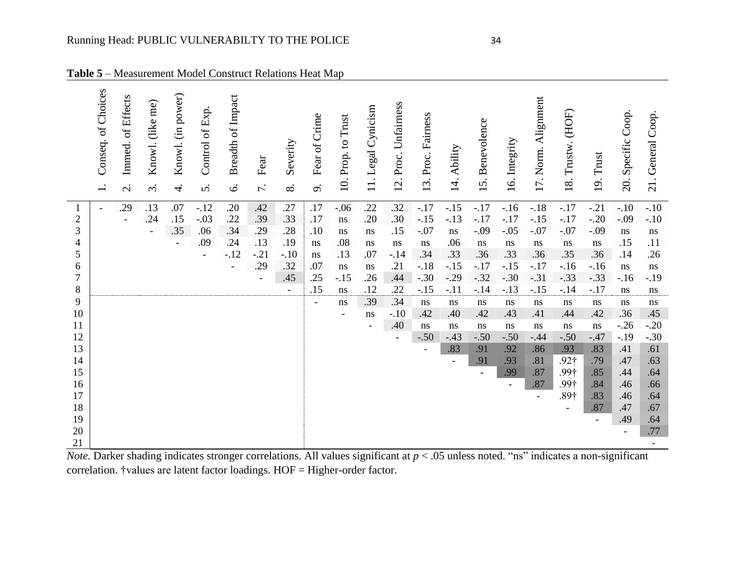| Conseq. of Choices<br>of Effects<br>(like me)<br>Immed.<br>Knowl.<br>$\ddot{\mathrm{c}}$<br>$\overline{\mathcal{C}}$ | (in power)<br>Knowl.<br>$\overline{4}$ | Control of Exp<br><sub>5</sub> | <b>Breadth of Impact</b><br>$\mathbf{\acute{o}}$ | Fear<br>$\overline{r}$ . | Severity<br>$\infty$     | Fear of Crime<br>o.      | 10. Prop. to Trust       | Cynicism<br>Legal<br>$\overline{11}$ . | Unfairness<br>Proc.<br>12. | Proc. Fairness<br>13. | Ability<br>$\overline{14}$ . | Benevolence<br>15. | Integrity<br>16. | Alignment<br>Norm.<br>17. | Trustw. (HOF)<br>18.     | Trust<br><u>19</u> .  | Coop.<br>Specific<br>20. | Coop.<br>General<br>21. |
|----------------------------------------------------------------------------------------------------------------------|----------------------------------------|--------------------------------|--------------------------------------------------|--------------------------|--------------------------|--------------------------|--------------------------|----------------------------------------|----------------------------|-----------------------|------------------------------|--------------------|------------------|---------------------------|--------------------------|-----------------------|--------------------------|-------------------------|
| .13<br>.29                                                                                                           | .07                                    | $-.12$                         | .20                                              | .42                      | .27                      | .17                      | $-.06$                   | .22                                    | .32                        | $-.17$                | $-.15$                       | $-.17$             | $-16$            | $-.18$                    | $-.17$                   | $-.21$                | $-.10$                   | $-.10$                  |
| $\overline{2}$<br>.24<br>۰                                                                                           | .15                                    | $-.03$                         | .22                                              | .39                      | .33                      | .17                      | ns                       | .20                                    | .30                        | $-.15$                | $-.13$                       | $-.17$             | $-.17$           | $-.15$                    | $-.17$                   | $-.20$                | $-.09$                   | $-.10$                  |
| 3<br>$\blacksquare$                                                                                                  | .35                                    | .06                            | .34                                              | .29                      | .28                      | .10                      | $\rm ns$                 | ns                                     | .15                        | $-.07$                | $\rm ns$                     | $-.09$             | $-.05$           | $-.07$                    | $-.07$                   | $-.09$                | ns                       | $\bf ns$                |
| 4                                                                                                                    | $\overline{\phantom{a}}$               | .09                            | .24                                              | .13                      | .19                      | ns                       | .08                      | $\rm ns$                               | $\rm ns$                   | $\, \! ns$            | .06                          | ns                 | $\,ns$           | $\rm ns$                  | ns                       | $\bf ns$              | .15                      | .11                     |
| 5                                                                                                                    |                                        |                                | $-.12$                                           | $-.21$                   | $-.10$                   | $\,ns$                   | .13                      | .07                                    | $-.14$                     | .34                   | .33                          | .36                | .33              | .36                       | .35                      | .36                   | .14                      | .26                     |
| 6                                                                                                                    |                                        |                                |                                                  | .29                      | .32                      | .07                      | $\bf ns$                 | ns                                     | .21                        | $-.18$                | $-.15$                       | $-.17$             | $-.15$           | $-.17$                    | $-.16$                   | $-.16$                | ns                       | $\mathbf{n}\mathbf{s}$  |
| $\tau$                                                                                                               |                                        |                                |                                                  | $\overline{\phantom{a}}$ | .45                      | .25                      | $-.15$                   | .26                                    | .44                        | $-.30$                | $-.29$                       | $-.32$             | $-.30$           | $-.31$                    | $-.33$                   | $-.33$                | $-16$                    | $-.19$                  |
| 8                                                                                                                    |                                        |                                |                                                  |                          | $\overline{\phantom{a}}$ | .15                      | $\rm ns$                 | .12                                    | .22                        | $-.15$                | $-.11$                       | $-14$              | $-.13$           | $-.15$                    | $-.14$                   | $-.17$                | ns                       | $\rm ns$                |
| 9                                                                                                                    |                                        |                                |                                                  |                          |                          | $\overline{\phantom{a}}$ | ns                       | .39                                    | .34                        | ns                    | ns                           | $\rm ns$           | $\,ns$           | ns                        | ns                       | $\, \! ns$            | ns                       | ns                      |
| 10                                                                                                                   |                                        |                                |                                                  |                          |                          |                          | $\overline{\phantom{a}}$ | $\, {\rm ns}$                          | $-.10$                     | .42                   | .40                          | .42                | .43              | .41                       | .44                      | .42                   | .36                      | .45                     |
| 11                                                                                                                   |                                        |                                |                                                  |                          |                          |                          |                          | $\qquad \qquad -$                      | .40                        | ns                    | ns                           | ns                 | $\,ns$           | ns                        | ns                       | $\,$ ns $\,$          | $-.26$                   | $-.20$                  |
| 12                                                                                                                   |                                        |                                |                                                  |                          |                          |                          |                          |                                        | $\overline{\phantom{a}}$   | $-.50$                | $-.43$                       | $-.50$             | $-.50$           | $-.44$                    | $-.50$                   | $-.47$                | $-.19$                   | $-.30$                  |
| 13                                                                                                                   |                                        |                                |                                                  |                          |                          |                          |                          |                                        |                            | $\blacksquare$        | .83                          | .91                | .92              | .86                       | .93                      | .83                   | .41                      | .61                     |
| 14                                                                                                                   |                                        |                                |                                                  |                          |                          |                          |                          |                                        |                            |                       | $\overline{\phantom{a}}$     | .91                | .93              | .81                       | $.92\dagger$             | .79                   | .47                      | .63                     |
| 15                                                                                                                   |                                        |                                |                                                  |                          |                          |                          |                          |                                        |                            |                       |                              |                    | .99              | .87                       | .99†                     | .85                   | .44                      | .64                     |
| 16                                                                                                                   |                                        |                                |                                                  |                          |                          |                          |                          |                                        |                            |                       |                              |                    | $\blacksquare$   | .87                       | .99†                     | .84                   | .46                      | .66                     |
| 17<br>18                                                                                                             |                                        |                                |                                                  |                          |                          |                          |                          |                                        |                            |                       |                              |                    |                  | $\overline{\phantom{a}}$  | $.89\dagger$             | .83                   | .46<br>.47               | .64<br>.67              |
| 19                                                                                                                   |                                        |                                |                                                  |                          |                          |                          |                          |                                        |                            |                       |                              |                    |                  |                           | $\overline{\phantom{a}}$ | .87<br>$\blacksquare$ | .49                      | .64                     |
| 20                                                                                                                   |                                        |                                |                                                  |                          |                          |                          |                          |                                        |                            |                       |                              |                    |                  |                           |                          |                       | $\overline{\phantom{a}}$ | $.77$                   |
| $21\,$                                                                                                               |                                        |                                |                                                  |                          |                          |                          |                          |                                        |                            |                       |                              |                    |                  |                           |                          |                       |                          |                         |

**Table 5** – Measurement Model Construct Relations Heat Map

*Note*. Darker shading indicates stronger correlations. All values significant at  $p < .05$  unless noted. "ns" indicates a non-significant correlation. †values are latent factor loadings. HOF = Higher-order factor.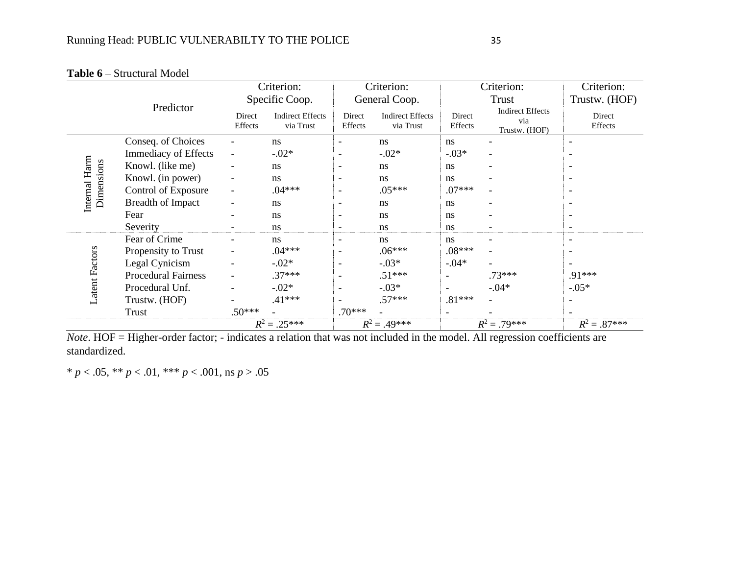|                             | Predictor                   |                          | Criterion:                           |                          | Criterion:                           |                   | Criterion:                                      | Criterion:               |
|-----------------------------|-----------------------------|--------------------------|--------------------------------------|--------------------------|--------------------------------------|-------------------|-------------------------------------------------|--------------------------|
|                             |                             |                          | Specific Coop.                       |                          | General Coop.                        |                   | Trust                                           | Trustw. (HOF)            |
|                             |                             | Direct<br>Effects        | <b>Indirect Effects</b><br>via Trust | Direct<br>Effects        | <b>Indirect Effects</b><br>via Trust | Direct<br>Effects | <b>Indirect Effects</b><br>via<br>Trustw. (HOF) | Direct<br>Effects        |
|                             | Conseq. of Choices          |                          | ns                                   | $\blacksquare$           | ns                                   | ns                |                                                 | $\overline{\phantom{a}}$ |
|                             | <b>Immediacy of Effects</b> | $\overline{\phantom{a}}$ | $-.02*$                              | $\overline{\phantom{a}}$ | $-.02*$                              | $-.03*$           |                                                 | $\overline{\phantom{a}}$ |
|                             | Knowl. (like me)            |                          | ns                                   | $\overline{\phantom{a}}$ | ns                                   | ns                |                                                 | $\overline{\phantom{a}}$ |
| Internal Harm<br>Dimensions | Knowl. (in power)           |                          | ns                                   | $\overline{\phantom{a}}$ | ns                                   | ns                |                                                 | $\overline{\phantom{a}}$ |
|                             | Control of Exposure         |                          | $.04***$                             | $\overline{\phantom{a}}$ | $.05***$                             | $.07***$          |                                                 | $\overline{\phantom{a}}$ |
|                             | <b>Breadth of Impact</b>    |                          | ns                                   | $\overline{\phantom{a}}$ | ns                                   | ns                |                                                 |                          |
|                             | Fear                        |                          | ns                                   | $\overline{\phantom{a}}$ | ns                                   | ns                |                                                 | $\overline{\phantom{a}}$ |
|                             | Severity                    | $\overline{\phantom{a}}$ | ns                                   | $\overline{\phantom{a}}$ | <sub>ns</sub>                        | ns                | $\overline{\phantom{a}}$                        | $\overline{\phantom{a}}$ |
|                             | Fear of Crime               |                          | ns                                   | $\blacksquare$           | ns.                                  | ns                |                                                 | $\overline{\phantom{a}}$ |
|                             | Propensity to Trust         |                          | $.04***$                             | $\overline{\phantom{a}}$ | $.06***$                             | $.08***$          |                                                 | $\overline{\phantom{a}}$ |
|                             | Legal Cynicism              |                          | $-.02*$                              | $\blacksquare$           | $-.03*$                              | $-.04*$           |                                                 |                          |
|                             | <b>Procedural Fairness</b>  |                          | $.37***$                             | $\overline{\phantom{a}}$ | $.51***$                             |                   | $.73***$                                        | .91***                   |
| Latent Factors              | Procedural Unf.             |                          | $-.02*$                              | $\overline{\phantom{a}}$ | $-.03*$                              | $\blacksquare$    | $-0.04*$                                        | $-.05*$                  |
|                             | Trustw. (HOF)               |                          | $.41***$                             |                          | $.57***$                             | $.81***$          |                                                 |                          |
|                             | Trust                       | $.50***$                 |                                      | $.70***$                 |                                      |                   |                                                 |                          |
|                             |                             | $R^2 = .25***$           |                                      | $R^2 = .49***$           |                                      |                   | $R^2 = .79***$                                  | $R^2 = .87***$           |

**Table 6** – Structural Model

*Note*. HOF = Higher-order factor; - indicates a relation that was not included in the model. All regression coefficients are standardized.

\* *p* < .05, \*\* *p* < .01, \*\*\* *p* < .001, ns *p* > .05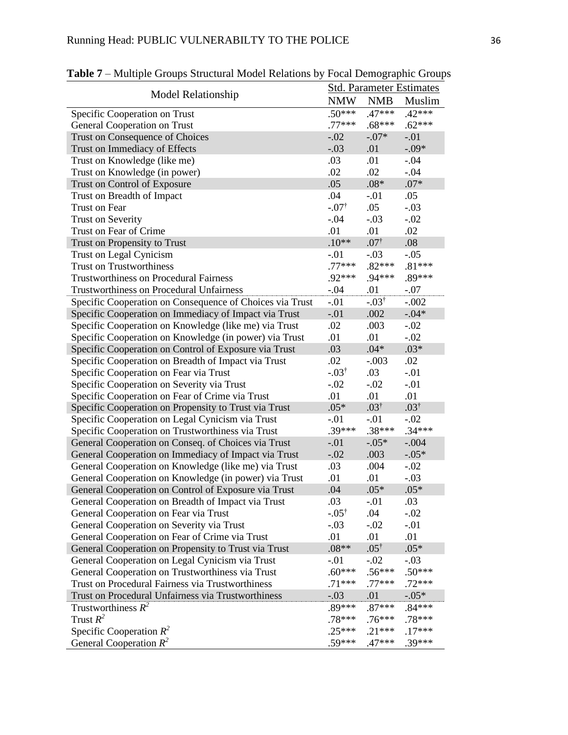|                                                          |                  |                  | <b>Std. Parameter Estimates</b> |  |  |
|----------------------------------------------------------|------------------|------------------|---------------------------------|--|--|
| <b>Model Relationship</b>                                | <b>NMW</b>       | <b>NMB</b>       | Muslim                          |  |  |
| Specific Cooperation on Trust                            | $.50***$         | $.47***$         | $.42***$                        |  |  |
| General Cooperation on Trust                             | $.77***$         | $.68***$         | $.62***$                        |  |  |
| Trust on Consequence of Choices                          | $-.02$           | $-.07*$          | $-.01$                          |  |  |
| Trust on Immediacy of Effects                            | $-.03$           | .01              | $-.09*$                         |  |  |
| Trust on Knowledge (like me)                             | .03              | .01              | $-.04$                          |  |  |
| Trust on Knowledge (in power)                            | .02              | .02              | $-.04$                          |  |  |
| Trust on Control of Exposure                             | .05              | $.08*$           | $.07*$                          |  |  |
| Trust on Breadth of Impact                               | .04              | $-.01$           | .05                             |  |  |
| <b>Trust on Fear</b>                                     | $-.07^{\dagger}$ | .05              | $-.03$                          |  |  |
| <b>Trust on Severity</b>                                 | $-.04$           | $-.03$           | $-.02$                          |  |  |
| Trust on Fear of Crime                                   | .01              | .01              | .02                             |  |  |
| Trust on Propensity to Trust                             | $.10**$          | $.07^{\dagger}$  | .08                             |  |  |
| Trust on Legal Cynicism                                  | $-.01$           | $-.03$           | $-.05$                          |  |  |
| <b>Trust on Trustworthiness</b>                          | $.77***$         | $.82***$         | $.81***$                        |  |  |
| <b>Trustworthiness on Procedural Fairness</b>            | .92***           | .94***           | .89***                          |  |  |
| <b>Trustworthiness on Procedural Unfairness</b>          | $-.04$           | .01              | $-.07$                          |  |  |
| Specific Cooperation on Consequence of Choices via Trust | $-.01$           | $-.03^{\dagger}$ | $-.002$                         |  |  |
| Specific Cooperation on Immediacy of Impact via Trust    | $-.01$           | .002             | $-0.04*$                        |  |  |
| Specific Cooperation on Knowledge (like me) via Trust    | .02              | .003             | $-.02$                          |  |  |
| Specific Cooperation on Knowledge (in power) via Trust   | .01              | .01              | $-.02$                          |  |  |
| Specific Cooperation on Control of Exposure via Trust    | .03              | $.04*$           | $.03*$                          |  |  |
| Specific Cooperation on Breadth of Impact via Trust      | .02              | $-.003$          | .02                             |  |  |
| Specific Cooperation on Fear via Trust                   | $-.03^{\dagger}$ | .03              | $-.01$                          |  |  |
| Specific Cooperation on Severity via Trust               | $-.02$           | $-.02$           | $-.01$                          |  |  |
| Specific Cooperation on Fear of Crime via Trust          | .01              | .01              | .01                             |  |  |
| Specific Cooperation on Propensity to Trust via Trust    | $.05*$           | $.03^{\dagger}$  | $.03^{\dagger}$                 |  |  |
| Specific Cooperation on Legal Cynicism via Trust         | $-.01$           | $-.01$           | $-.02$                          |  |  |
| Specific Cooperation on Trustworthiness via Trust        | .39***           | $.38***$         | $.34***$                        |  |  |
| General Cooperation on Conseq. of Choices via Trust      | $-.01$           | $-.05*$          | $-.004$                         |  |  |
| General Cooperation on Immediacy of Impact via Trust     | $-.02$           | .003             | $-.05*$                         |  |  |
| General Cooperation on Knowledge (like me) via Trust     | .03              | .004             | $-.02$                          |  |  |
| General Cooperation on Knowledge (in power) via Trust    | .01              | .01              | $-.03$                          |  |  |
| General Cooperation on Control of Exposure via Trust     | .04              | $.05*$           | $.05*$                          |  |  |
| General Cooperation on Breadth of Impact via Trust       | .03              | $-.01$           | .03                             |  |  |
| General Cooperation on Fear via Trust                    | $-.05^{\dagger}$ | .04              | $-.02$                          |  |  |
| General Cooperation on Severity via Trust                | $-.03$           | $-.02$           | $-.01$                          |  |  |
| General Cooperation on Fear of Crime via Trust           | .01              | .01              | .01                             |  |  |
| General Cooperation on Propensity to Trust via Trust     | $.08**$          | $.05^{\dagger}$  | $.05*$                          |  |  |
| General Cooperation on Legal Cynicism via Trust          | $-.01$           | $-.02$           | $-.03$                          |  |  |
| General Cooperation on Trustworthiness via Trust         | $.60***$         | $.56***$         | $.50***$                        |  |  |
| Trust on Procedural Fairness via Trustworthiness         | $.71***$         | $.77***$         | $.72***$                        |  |  |
| Trust on Procedural Unfairness via Trustworthiness       | $-.03$           | .01              | $-0.05*$                        |  |  |
| Trustworthiness $R^2$                                    | .89***           | $.87***$         | $.84***$                        |  |  |
| Trust $R^2$                                              | $.78***$         | $.76***$         | .78***                          |  |  |
| Specific Cooperation $R^2$                               | $.25***$         | $.21***$         | $.17***$                        |  |  |
| General Cooperation $R^2$                                | $.59***$         | $.47***$         | .39***                          |  |  |

**Table 7** – Multiple Groups Structural Model Relations by Focal Demographic Groups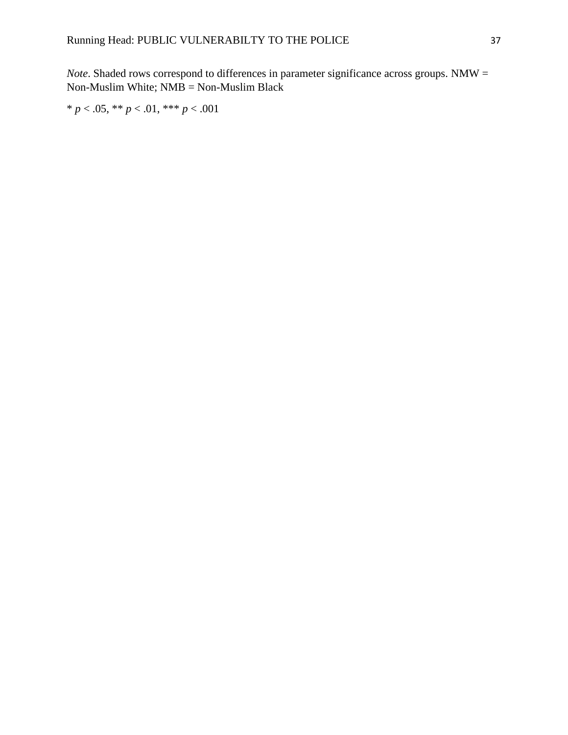*Note*. Shaded rows correspond to differences in parameter significance across groups. NMW = Non-Muslim White; NMB = Non-Muslim Black

\* *p* < .05, \*\* *p* < .01, \*\*\* *p* < .001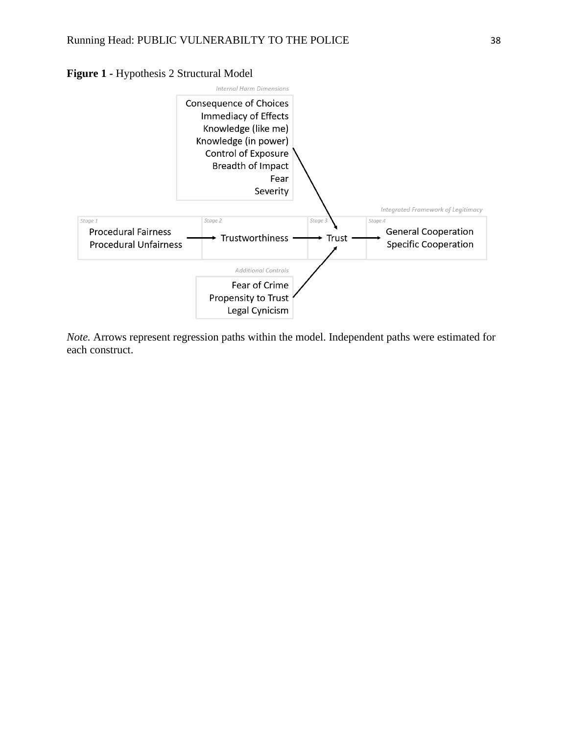



*Note.* Arrows represent regression paths within the model. Independent paths were estimated for each construct.